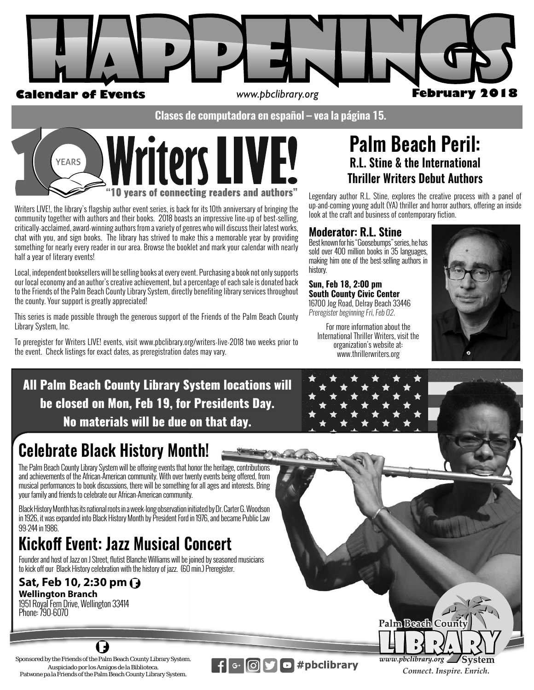

**Clases de computadora en español – vea la página 15.**



Writers LIVE!, the library's flagship author event series, is back for its 10th anniversary of bringing the community together with authors and their books. 2018 boasts an impressive line-up of best-selling, critically-acclaimed, award-winning authors from a variety of genres who will discuss their latest works, chat with you, and sign books. The library has strived to make this a memorable year by providing something for nearly every reader in our area. Browse the booklet and mark your calendar with nearly half a year of literary events!

Local, independent booksellers will be selling books at every event. Purchasing a book not only supports our local economy and an author's creative achievement, but a percentage of each sale is donated back to the Friends of the Palm Beach County Library System, directly benefiting library services throughout the county. Your support is greatly appreciated!

This series is made possible through the generous support of the Friends of the Palm Beach County Library System, Inc.

To preregister for Writers LIVE! events, visit www.pbclibrary.org/writers-live-2018 two weeks prior to the event. Check listings for exact dates, as preregistration dates may vary.

# **Palm Beach Peril: R.L. Stine & the International Thriller Writers Debut Authors**

Legendary author R.L. Stine, explores the creative process with a panel of up-and-coming young adult (YA) thriller and horror authors, offering an inside look at the craft and business of contemporary fiction.

# **Moderator: R.L. Stine**

Best known for his "Goosebumps" series, he has sold over 400 million books in 35 languages, making him one of the best-selling authors in history.

#### **Sun, Feb 18, 2:00 pm un, Feb 18, 2:00 pm South County Civic Center outh County Civic**

16700 Jog Road, Delray Beach 33446 *Preregister beginning Fri, Feb 02.* 

For more information about the International Thriller Writers, visit the organization's website at: www.thrillerwriters.org



All Palm Beach County Library System locations will be closed on Mon, Feb 19, for Presidents Day. No materials will be due on that day. **System locations v**<br> **r Presidents Day.**<br> **on that day.**<br> **no**nor the heritage, contributions<br>
wenty events being offered, from<br>
g for all ages and interests. Bring<br>
tiv.<br>
initiated by Dr. Carter G. Woodson<br>
d in 1976, an

# **Celebrate Black History Month! nth!**

The Palm Beach County Library System will be offering events that honor the heritage, contributions and achievements of the African-American community. With over twenty events being offered, from musical performances to book discussions, there will be something for all ages and interests. Bring your family and friends to celebrate our African-American community. honor the heritage, contributions<br>wenty events being offered, from<br>g for all ages and interests. Bring

your family and friends to celebrate our African-American community.<br>Black History Month has its national roots in a week-long observation initiated by Dr. Carter G. Woodson <sub>.</sub> in 1926, it was expanded into Black History Month by President Ford in 1976, and became Public Law 99-244 in 1986.

# **Kickoff Event: Jazz Musical Concert**

Founder and host of Jazz on J Street, flutist Blanche Williams will be joined by seasoned musicians to kick off our Black History celebration with the history of jazz. (60 min.) Preregister.

 $\left| \mathbf{f} \right|$  G+  $\left| \mathbf{f} \right|$   $\left| \mathbf{g} \right|$ 

# **Sat, Feb 10, 2:30 pm Wellington Branch**

1951 Royal Fern Drive, Wellington 33414 Phone: 790-6070

Sponsored by the Friends of the Palm Beach County Library System. Auspiciado por los Amigos de la Biblioteca. Patwone pa la Friends of the Palm Beach County Library System.

11

 $\overline{\text{S}}$  #pbclibrary  $\overline{\text{www.}\text{p}b}$ clibrary.org **Palm Beach Connect. Inspire. Enrich.** 

Palm Beach Coun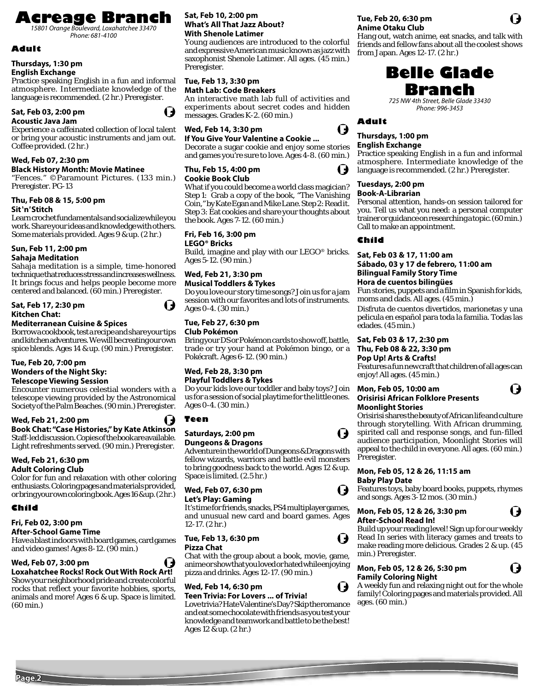# **Acreage Branch** *15801 Orange Boulevard, Loxahatchee 33470*

*Phone: 681-4100*

### **Adult**

# **Thursdays, 1:30 pm**

### **English Exchange**

Practice speaking English in a fun and informal atmosphere. Intermediate knowledge of the language is recommended. (2 hr.) Preregister.

#### **Sat, Feb 03, 2:00 pm Acoustic Java Jam**



#### Experience a caffeinated collection of local talent or bring your acoustic instruments and jam out. Coffee provided. (2 hr.)

#### **Wed, Feb 07, 2:30 pm**

#### **Black History Month: Movie Matinee**

"Fences." ©Paramount Pictures. (133 min.) Preregister. PG-13

#### **Thu, Feb 08 & 15, 5:00 pm Sit 'n' Stitch**

Learn crochet fundamentals and socialize while you work. Share your ideas and knowledge with others. Some materials provided. Ages 9 & up. (2 hr.)

# **Sun, Feb 11, 2:00 pm**

#### **Sahaja Meditation**

Sahaja meditation is a simple, time-honored technique that reduces stress and increases wellness. It brings focus and helps people become more centered and balanced. (60 min.) Preregister.

#### **Sat, Feb 17, 2:30 pm Kitchen Chat:**

#### **Mediterranean Cuisine & Spices**

Borrow a cookbook, test a recipe and share your tips and kitchen adventures. We will be creating our own spice blends. Ages 14 & up. (90 min.) Preregister.

#### **Tue, Feb 20, 7:00 pm Wonders of the Night Sky: Telescope Viewing Session**

Encounter numerous celestial wonders with a telescope viewing provided by the Astronomical Society of the Palm Beaches. (90 min.) Preregister.

**Wed, Feb 21, 2:00 pm Book Chat: "Case Histories," by Kate Atkinson** Staff-led discussion. Copies of the book are available. Light refreshments served. (90 min.) Preregister.

#### **Wed, Feb 21, 6:30 pm Adult Coloring Club**

Color for fun and relaxation with other coloring enthusiasts. Coloring pages and materials provided, or bring your own coloring book. Ages 16 & up. (2 hr.)

### **Child**

#### **Fri, Feb 02, 3:00 pm**

#### **After-School Game Time**

Have a blast indoors with board games, card games and video games! Ages 8-12. (90 min.)

#### **Wed, Feb 07, 3:00 pm**

#### **Loxahatchee Rocks! Rock Out With Rock Art!** Show your neighborhood pride and create colorful rocks that reflect your favorite hobbies, sports, animals and more! Ages 6 & up. Space is limited. (60 min.)

#### **Sat, Feb 10, 2:00 pm What's All That Jazz About? With Shenole Latimer**

Young audiences are introduced to the colorful and expressive American music known as jazz with saxophonist Shenole Latimer. All ages. (45 min.) Preregister.

#### **Tue, Feb 13, 3:30 pm Math Lab: Code Breakers**

An interactive math lab full of activities and experiments about secret codes and hidden messages. Grades K-2. (60 min.)

**Wed, Feb 14, 3:30 pm** 

### **If You Give Your Valentine a Cookie ...**

Decorate a sugar cookie and enjoy some stories and games you're sure to love. Ages 4-8. (60 min.)

#### **Thu, Feb 15, 4:00 pm Cookie Book Club**

What if you could become a world class magician? Step 1: Grab a copy of the book, "The Vanishing Coin," by Kate Egan and Mike Lane. Step 2: Read it. Step 3: Eat cookies and share your thoughts about the book. Ages 7-12. (60 min.)

#### **Fri, Feb 16, 3:00 pm**

#### **LEGO® Bricks**

Build, imagine and play with our LEGO® bricks. Ages 5-12. (90 min.)

#### **Wed, Feb 21, 3:30 pm Musical Toddlers & Tykes**

Do you love our story time songs? Join us for a jam session with our favorites and lots of instruments. Ages 0-4. (30 min.)

#### **Tue, Feb 27, 6:30 pm**

#### **Club Pokémon**

Bring your DS or Pokémon cards to show off, battle, trade or try your hand at Pokémon bingo, or a Pokécraft. Ages 6-12. (90 min.)

#### **Wed, Feb 28, 3:30 pm Playful Toddlers & Tykes**

Do your kids love our toddler and baby toys? Join us for a session of social playtime for the little ones. Ages 0-4. (30 min.)

#### **Teen**

#### **Saturdays, 2:00 pm Dungeons & Dragons**

Adventure in the world of Dungeons & Dragons with fellow wizards, warriors and battle evil monsters to bring goodness back to the world. Ages 12 & up. Space is limited. (2.5 hr.)

#### **Wed, Feb 07, 6:30 pm Let's Play: Gaming**

It's time for friends, snacks, PS4 multiplayer games, and unusual new card and board games. Ages 12-17. (2 hr.)

#### **Tue, Feb 13, 6:30 pm Pizza Chat**

Chat with the group about a book, movie, game, anime or show that you loved or hated while enjoying pizza and drinks. Ages 12-17. (90 min.)

#### **Wed, Feb 14, 6:30 pm**

#### **Teen Trivia: For Lovers ... of Trivia!**

Love trivia? Hate Valentine's Day? Skip the romance and eat some chocolate with friends as you test your knowledge and teamwork and battle to be the best! Ages 12 & up. (2 hr.)

# **Tue, Feb 20, 6:30 pm Anime Otaku Club**

Hang out, watch anime, eat snacks, and talk with friends and fellow fans about all the coolest shows from Japan. Ages 12-17. (2 hr.)



*725 NW 4th Street, Belle Glade 33430 Phone: 996-3453*

# **Adult**

# **Thursdays, 1:00 pm**

#### **English Exchange**

Practice speaking English in a fun and informal atmosphere. Intermediate knowledge of the language is recommended. (2 hr.) Preregister.

# **Tuesdays, 2:00 pm**

#### **Book-A-Librarian**

Personal attention, hands-on session tailored for you. Tell us what you need: a personal computer trainer or guidance on researching a topic. (60 min.) Call to make an appointment.

#### **Child**

#### **Sat, Feb 03 & 17, 11:00 am Sábado, 03 y 17 de febrero, 11:00 am Bilingual Family Story Time**

#### **Hora de cuentos bilingües**

Fun stories, puppets and a film in Spanish for kids, moms and dads. All ages. (45 min.)

Disfruta de cuentos divertidos, marionetas y una pelicula en español para toda la familia. Todas las edades. (45 min.)

#### **Sat, Feb 03 & 17, 2:30 pm**

#### **Thu, Feb 08 & 22, 3:30 pm**

**Pop Up! Arts & Crafts!**

Features a fun new craft that children of all ages can enjoy! All ages. (45 min.)

#### **Mon, Feb 05, 10:00 am Orisirisi African Folklore Presents Moonlight Stories**

Orisirisi shares the beauty of African life and culture through storytelling. With African drumming, spirited call and response songs, and fun-filled audience participation, Moonlight Stories will appeal to the child in everyone. All ages. (60 min.) Preregister.

#### **Mon, Feb 05, 12 & 26, 11:15 am Baby Play Date**

Features toys, baby board books, puppets, rhymes and songs. Ages 3-12 mos. (30 min.)

#### **Mon, Feb 05, 12 & 26, 3:30 pm After-School Read In!**



# **Mon, Feb 05, 12 & 26, 5:30 pm**







I,

Q



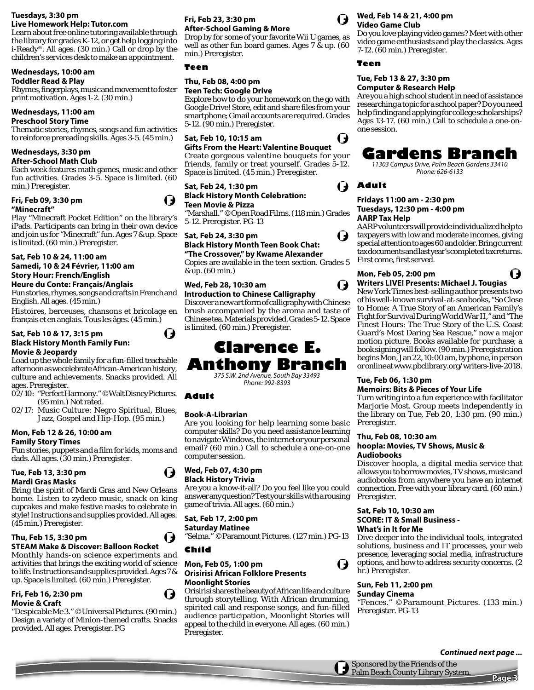# **Tuesdays, 3:30 pm**

**Live Homework Help: Tutor.com** Learn about free online tutoring available through the library for grades K-12, or get help logging into i-Ready®. All ages. (30 min.) Call or drop by the children's services desk to make an appointment.

# **Wednesdays, 10:00 am**

**Toddler Read & Play** 

Rhymes, fingerplays, music and movement to foster print motivation. Ages 1-2. (30 min.)

# **Wednesdays, 11:00 am**

**Preschool Story Time**

Thematic stories, rhymes, songs and fun activities to reinforce prereading skills. Ages 3-5. (45 min.)

# **Wednesdays, 3:30 pm**

**After-School Math Club** 

Each week features math games, music and other fun activities. Grades 3-5. Space is limited. (60 min.) Preregister.

#### **Fri, Feb 09, 3:30 pm "Minecraft"**

Play "Minecraft Pocket Edition" on the library's iPads. Participants can bring in their own device and join us for "Minecraft" fun. Ages 7 & up. Space is limited. (60 min.) Preregister.

#### **Sat, Feb 10 & 24, 11:00 am Samedi, 10 & 24 Février, 11:00 am Story Hour: French/English**

#### **Heure du Conte: Français/Anglais**

Fun stories, rhymes, songs and crafts in French and English. All ages. (45 min.)

Histoires, berceuses, chansons et bricolage en français et en anglais. Tous les âges. (45 min.)

#### **Sat, Feb 10 & 17, 3:15 pm Black History Month Family Fun: Movie & Jeopardy**

Load up the whole family for a fun-filled teachable afternoon as we celebrate African-American history, culture and achievements. Snacks provided. All ages. Preregister.

- 02/10: "Perfect Harmony." ©Walt Disney Pictures. (95 min.) Not rated.
- 02/17: Music Culture: Negro Spiritual, Blues, Jazz, Gospel and Hip-Hop. (95 min.)

#### **Mon, Feb 12 & 26, 10:00 am Family Story Times**

# Fun stories, puppets and a film for kids, moms and

dads. All ages. (30 min.) Preregister.

#### **Tue, Feb 13, 3:30 pm Mardi Gras Masks**

# Bring the spirit of Mardi Gras and New Orleans home. Listen to zydeco music, snack on king cupcakes and make festive masks to celebrate in

# (45 min.) Preregister. **Thu, Feb 15, 3:30 pm**

# **STEAM Make & Discover: Balloon Rocket**

#### Monthly hands-on science experiments and activities that brings the exciting world of science to life. Instructions and supplies provided. Ages 7 & up. Space is limited. (60 min.) Preregister.

style! Instructions and supplies provided. All ages.

#### **Fri, Feb 16, 2:30 pm Movie & Craft**

#### "Despicable Me 3." ©Universal Pictures. (90 min.) Design a variety of Minion-themed crafts. Snacks provided. All ages. Preregister. PG

### **Fri, Feb 23, 3:30 pm After-School Gaming & More**

Drop by for some of your favorite Wii U games, as well as other fun board games. Ages 7 & up. (60 min.) Preregister.

### **Teen**

# **Thu, Feb 08, 4:00 pm**

#### **Teen Tech: Google Drive**

Explore how to do your homework on the go with Google Drive! Store, edit and share files from your smartphone; Gmail accounts are required. Grades 5-12. (90 min.) Preregister.

### **Sat, Feb 10, 10:15 am**

**Gifts From the Heart: Valentine Bouquet** Create gorgeous valentine bouquets for your friends, family or treat yourself. Grades 5-12.

#### **Sat, Feb 24, 1:30 pm Black History Month Celebration: Teen Movie & Pizza**

Space is limited. (45 min.) Preregister.

"Marshall." ©Open Road Films. (118 min.) Grades 5-12. Preregister. PG-13

# **Sat, Feb 24, 3:30 pm Black History Month Teen Book Chat:**

**"The Crossover," by Kwame Alexander** Copies are available in the teen section. Grades 5 & up. (60 min.)

# **Wed, Feb 28, 10:30 am**

**Introduction to Chinese Calligraphy**  Discover a new art form of calligraphy with Chinese brush accompanied by the aroma and taste of Chinese tea. Materials provided. Grades 5-12. Space is limited. (60 min.) Preregister.

# **Clarence E. Anthony Branch** *375 S.W. 2nd Avenue, South Bay 33493*

*Phone: 992-8393*

### **Adult**

### **Book-A-Librarian**

Are you looking for help learning some basic computer skills? Do you need assistance learning to navigate Windows, the internet or your personal email? (60 min.) Call to schedule a one-on-one computer session.

#### **Wed, Feb 07, 4:30 pm Black History Trivia**

Are you a know-it-all? Do you feel like you could answer any question? Test your skills with a rousing game of trivia. All ages. (60 min.)

# **Sat, Feb 17, 2:00 pm**

**Saturday Matinee** "Selma." ©Paramount Pictures. (127 min.) PG-13

### **Child**

#### **Mon, Feb 05, 1:00 pm Orisirisi African Folklore Presents Moonlight Stories**

Orisirisi shares the beauty of African life and culture through storytelling. With African drumming, spirited call and response songs, and fun-filled audience participation, Moonlight Stories will appeal to the child in everyone. All ages. (60 min.) Preregister.



U

( J

#### **Wed, Feb 14 & 21, 4:00 pm Video Game Club**

Do you love playing video games? Meet with other video game enthusiasts and play the classics. Ages 7-12. (60 min.) Preregister.

### **Teen**

#### **Tue, Feb 13 & 27, 3:30 pm Computer & Research Help**

Are you a high school student in need of assistance researching a topic for a school paper? Do you need help finding and applying for college scholarships? Ages 13-17. (60 min.) Call to schedule a one-onone session.

# **Gardens Branch**

*11303 Campus Drive, Palm Beach Gardens 33410 Phone: 626-6133*

# **Adult**

#### **Fridays 11:00 am - 2:30 pm Tuesdays, 12:30 pm - 4:00 pm AARP Tax Help**

AARP volunteers will provide individualized help to taxpayers with low and moderate incomes, giving special attention to ages 60 and older. Bring current tax documents and last year's completed tax returns. First come, first served.

### **Mon, Feb 05, 2:00 pm Writers LIVE! Presents: Michael J. Tougias**

New York Times best-selling author presents two of his well-known survival-at-sea books, "So Close to Home: A True Story of an American Family's Fight for Survival During World War II," and "The Finest Hours: The True Story of the U.S. Coast Guard's Most Daring Sea Rescue," now a major motion picture. Books available for purchase; a book signing will follow. (90 min.) Preregistration begins Mon, Jan 22, 10:00 am, by phone, in person or online at www.pbclibrary.org/writers-live-2018.

#### **Tue, Feb 06, 1:30 pm Memoirs: Bits & Pieces of Your Life**

Turn writing into a fun experience with facilitator Marjorie Most. Group meets independently in the library on Tue, Feb 20, 1:30 pm. (90 min.) Preregister.

### **Thu, Feb 08, 10:30 am hoopla: Movies, TV Shows, Music & Audiobooks**

Discover hoopla, a digital media service that allows you to borrow movies, TV shows, music and audiobooks from anywhere you have an internet connection. Free with your library card. (60 min.) Preregister.

#### **Sat, Feb 10, 10:30 am SCORE: IT & Small Business - What's in It for Me**

Dive deeper into the individual tools, integrated solutions, business and IT processes, your web presence, leveraging social media, infrastructure options, and how to address security concerns. (2 hr.) Preregister.

#### **Sun, Feb 11, 2:00 pm Sunday Cinema**

 $\mathbf t$ 

"Fences." ©Paramount Pictures. (133 min.) Preregister. PG-13

#### **Continued next page ...**

Sponsored by the Friends of the Palm Beach County Library System.

# **Page 3**



I J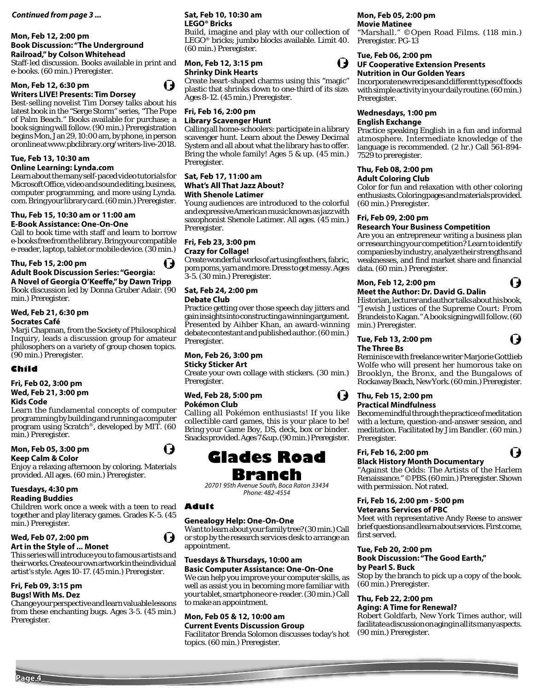#### **Continued from page 3 ...**

#### **Mon, Feb 12, 2:00 pm Book Discussion: "The Underground Railroad," by Colson Whitehead**

Staff-led discussion. Books available in print and e-books. (60 min.) Preregister.

#### **Mon, Feb 12, 6:30 pm Writers LIVE! Presents: Tim Dorsey**



I J

Best-selling novelist Tim Dorsey talks about his latest book in the "Serge Storm" series, "The Pope of Palm Beach." Books available for purchase; a book signing will follow. (90 min.) Preregistration begins Mon, Jan 29, 10:00 am, by phone, in person or online at www.pbclibrary.org/writers-live-2018.

### **Tue, Feb 13, 10:30 am**

#### **Online Learning: Lynda.com**

Learn about the many self-paced video tutorials for Microsoft Office, video and sound editing, business, computer programming, and more using Lynda. com. Bring your library card. (60 min.) Preregister.

#### **Thu, Feb 15, 10:30 am or 11:00 am E-Book Assistance: One-On-One**

Call to book time with staff and learn to borrow e-books free from the library. Bring your compatible e-reader, laptop, tablet or mobile device. (30 min.)



#### **Thu, Feb 15, 2:00 pm Adult Book Discussion Series: "Georgia:**  A Novel of Georgia O'Keeffe," by Dawn Tripp

Book discussion led by Donna Gruber Adair. (90 min.) Preregister.

# **Wed, Feb 21, 6:30 pm**

#### **Socrates Café**

Marji Chapman, from the Society of Philosophical Inquiry, leads a discussion group for amateur philosophers on a variety of group chosen topics. (90 min.) Preregister.

#### **Child**

# **Fri, Feb 02, 3:00 pm Wed, Feb 21, 3:00 pm**

#### **Kids Code**

Learn the fundamental concepts of computer programming by building and running a computer program using Scratch®, developed by MIT. (60 min.) Preregister.

# **Mon, Feb 05, 3:00 pm**

#### **Keep Calm & Color**

Enjoy a relaxing afternoon by coloring. Materials provided. All ages. (60 min.) Preregister.

# **Tuesdays, 4:30 pm**

### **Reading Buddies**

Children work once a week with a teen to read together and play literacy games. Grades K-5. (45 min.) Preregister.

#### **Wed, Feb 07, 2:00 pm Art in the Style of ... Monet**

This series will introduce you to famous artists and their works. Create our own artwork in the individual artist's style. Ages 10-17. (45 min.) Preregister.

#### **Fri, Feb 09, 3:15 pm Bugs! With Ms. Dez**

Change your perspective and learn valuable lessons from these enchanting bugs. Ages 3-5. (45 min.) Preregister.

#### **Sat, Feb 10, 10:30 am LEGO® Bricks**

Build, imagine and play with our collection of LEGO® bricks; jumbo blocks available. Limit 40. (60 min.) Preregister.

#### **Mon, Feb 12, 3:15 pm Shrinky Dink Hearts**

Create heart-shaped charms using this "magic" plastic that shrinks down to one-third of its size. Ages 8-12. (45 min.) Preregister.

#### **Fri, Feb 16, 2:00 pm Library Scavenger Hunt**

Calling all home-schoolers: participate in a library scavenger hunt. Learn about the Dewey Decimal System and all about what the library has to offer. Bring the whole family! Ages  $5 \& \text{up}$ . (45 min.) Preregister.

#### **Sat, Feb 17, 11:00 am What's All That Jazz About? With Shenole Latimer**

Young audiences are introduced to the colorful and expressive American music known as jazz with saxophonist Shenole Latimer. All ages. (45 min.) Preregister.

# **Fri, Feb 23, 3:00 pm**

**Crazy for Collage!** Create wonderful works of art using feathers, fabric, pom poms, yarn and more. Dress to get messy. Ages 3-5. (30 min.) Preregister.

### **Sat, Feb 24, 2:00 pm**

#### **Debate Club**

Practice getting over those speech day jitters and gain insights into constructing a winning argument. Presented by Aihber Khan, an award-winning debate contestant and published author. (60 min.) Preregister.

# **Mon, Feb 26, 3:00 pm**

## **Sticky Sticker Art**

Create your own collage with stickers. (30 min.) Preregister.

#### **Wed, Feb 28, 5:00 pm Pokémon Club**

Calling all Pokémon enthusiasts! If you like collectible card games, this is your place to be! Bring your Game Boy, DS, deck, box or binder. Snacks provided. Ages 7 & up. (90 min.) Preregister.



# **Branch**

*20701 95th Avenue South, Boca Raton 33434 Phone: 482-4554*

### **Adult**

#### **Genealogy Help: One-On-One**

Want to learn about your family tree? (30 min.) Call or stop by the research services desk to arrange an appointment.

#### **Tuesdays & Thursdays, 10:00 am**

**Basic Computer Assistance: One-On-One** We can help you improve your computer skills, as well as assist you in becoming more familiar with your tablet, smartphone or e-reader. (30 min.) Call to make an appointment.

### **Mon, Feb 05 & 12, 10:00 am**

**Current Events Discussion Group** Facilitator Brenda Solomon discusses today's hot topics. (60 min.) Preregister.

# **Mon, Feb 05, 2:00 pm**

**Movie Matinee** "Marshall." ©Open Road Films. (118 min.) Preregister. PG-13

# **Tue, Feb 06, 2:00 pm**

 $\blacksquare$ 

#### **UF Cooperative Extension Presents Nutrition in Our Golden Years**

Incorporate new recipes and different types of foods with simple activity in your daily routine. (60 min.) Preregister.

# **Wednesdays, 1:00 pm**

#### **English Exchange**

Practice speaking English in a fun and informal atmosphere. Intermediate knowledge of the language is recommended. (2 hr.) Call 561-894- 7529 to preregister.

# **Thu, Feb 08, 2:00 pm**

#### **Adult Coloring Club**

Color for fun and relaxation with other coloring enthusiasts. Coloring pages and materials provided. (60 min.) Preregister.

#### **Fri, Feb 09, 2:00 pm**

#### **Research Your Business Competition**

Are you an entrepreneur writing a business plan or researching your competition? Learn to identify companies by industry, analyze their strengths and weaknesses, and find market share and financial data. (60 min.) Preregister.

#### **Mon, Feb 12, 2:00 pm Meet the Author: Dr. David G. Dalin**

Historian, lecturer and author talks about his book, "Jewish Justices of the Supreme Court: From Brandeis to Kagan." A book signing will follow. (60 min.) Preregister.

#### **Tue, Feb 13, 2:00 pm The Three Bs**

Reminisce with freelance writer Marjorie Gottlieb Wolfe who will present her humorous take on Brooklyn, the Bronx, and the Bungalows of Rockaway Beach, New York. (60 min.) Preregister.

#### **Thu, Feb 15, 2:00 pm Practical Mindfulness**

 $\blacksquare$ 

Become mindful through the practice of meditation with a lecture, question-and-answer session, and meditation. Facilitated by Jim Bandler. (60 min.) Preregister.

#### **Fri, Feb 16, 2:00 pm Black History Month Documentary**

"Against the Odds: The Artists of the Harlem Renaissance." ©PBS. (60 min.) Preregister. Shown with permission. Not rated.

#### **Fri, Feb 16, 2:00 pm - 5:00 pm Veterans Services of PBC**

Meet with representative Andy Reese to answer brief questions and learn about services. First come, first served.

# **Tue, Feb 20, 2:00 pm**

#### **Book Discussion: "The Good Earth," by Pearl S. Buck**

Stop by the branch to pick up a copy of the book. (60 min.) Preregister.

# **Thu, Feb 22, 2:00 pm**

#### **Aging: A Time for Renewal?**

Robert Goldfarb, New York Times author, will facilitate a discussion on aging in all its many aspects. (90 min.) Preregister.





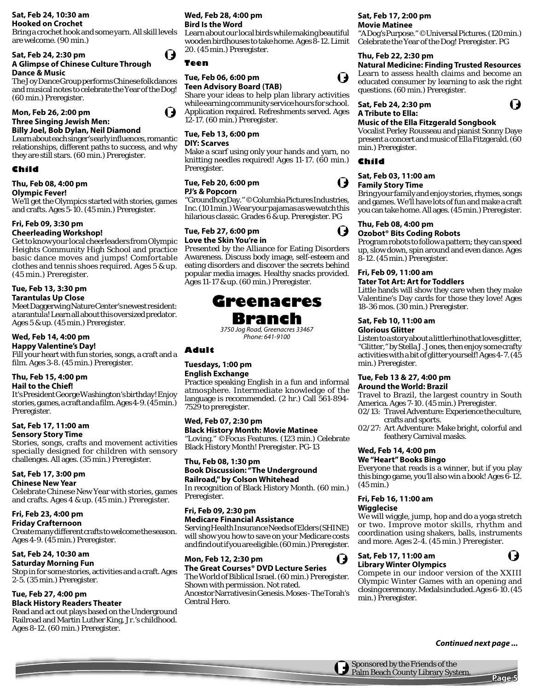# **Sat, Feb 24, 10:30 am**

# **Hooked on Crochet**

Bring a crochet hook and some yarn. All skill levels are welcome. (90 min.)

#### **Sat, Feb 24, 2:30 pm A Glimpse of Chinese Culture Through Dance & Music**

The Joy Dance Group performs Chinese folk dances and musical notes to celebrate the Year of the Dog! (60 min.) Preregister.

# **Mon, Feb 26, 2:00 pm**

# **Three Singing Jewish Men:**

**Billy Joel, Bob Dylan, Neil Diamond**

Learn about each singer's early influences, romantic relationships, different paths to success, and why they are still stars. (60 min.) Preregister.

# **Child**

# **Thu, Feb 08, 4:00 pm**

#### **Olympic Fever!**

We'll get the Olympics started with stories, games and crafts. Ages 5-10. (45 min.) Preregister.

# **Fri, Feb 09, 3:30 pm**

# **Cheerleading Workshop!**

Get to know your local cheerleaders from Olympic Heights Community High School and practice basic dance moves and jumps! Comfortable clothes and tennis shoes required. Ages 5 & up. (45 min.) Preregister.

# **Tue, Feb 13, 3:30 pm**

# **Tarantulas Up Close**

Meet Daggerwing Nature Center's newest resident: a tarantula! Learn all about this oversized predator. Ages 5 & up. (45 min.) Preregister.

# **Wed, Feb 14, 4:00 pm**

## **Happy Valentine's Day!**

Fill your heart with fun stories, songs, a craft and a film. Ages 3-8. (45 min.) Preregister.

#### **Thu, Feb 15, 4:00 pm Hail to the Chief!**

It's President George Washington's birthday! Enjoy stories, games, a craft and a film. Ages 4-9. (45 min.) Preregister.

#### **Sat, Feb 17, 11:00 am Sensory Story Time**

Stories, songs, crafts and movement activities specially designed for children with sensory challenges. All ages. (35 min.) Preregister.

# **Sat, Feb 17, 3:00 pm**

**Chinese New Year**

Celebrate Chinese New Year with stories, games and crafts. Ages 4 & up. (45 min.) Preregister.

# **Fri, Feb 23, 4:00 pm**

**Friday Crafternoon** Create many different crafts to welcome the season. Ages 4-9. (45 min.) Preregister.

# **Sat, Feb 24, 10:30 am**

# **Saturday Morning Fun**

Stop in for some stories, activities and a craft. Ages 2-5. (35 min.) Preregister.

#### **Tue, Feb 27, 4:00 pm Black History Readers Theater**

Read and act out plays based on the Underground Railroad and Martin Luther King, Jr.'s childhood. Ages 8-12. (60 min.) Preregister.

#### **Wed, Feb 28, 4:00 pm Bird Is the Word**

Learn about our local birds while making beautiful wooden birdhouses to take home. Ages 8-12. Limit 20. (45 min.) Preregister.

# **Teen**

#### **Tue, Feb 06, 6:00 pm Teen Advisory Board (TAB)**

Share your ideas to help plan library activities while earning community service hours for school. Application required. Refreshments served. Ages 12-17. (60 min.) Preregister.

# **Tue, Feb 13, 6:00 pm**

### **DIY: Scarves**

Make a scarf using only your hands and yarn, no knitting needles required! Ages 11-17. (60 min.) Preregister.

# **Tue, Feb 20, 6:00 pm**

**PJ's & Popcorn**

"Groundhog Day." ©Columbia Pictures Industries, Inc. (101 min.) Wear your pajamas as we watch this hilarious classic. Grades 6 & up. Preregister. PG

# **Tue, Feb 27, 6:00 pm**

**Love the Skin You're in**  Presented by the Alliance for Eating Disorders Awareness. Discuss body image, self-esteem and eating disorders and discover the secrets behind popular media images. Healthy snacks provided. Ages 11-17 & up. (60 min.) Preregister.

# **Greenacres Branch**

*3750 Jog Road, Greenacres 33467 Phone: 641-9100*

# **Adult**

# **Tuesdays, 1:00 pm**

### **English Exchange**

Practice speaking English in a fun and informal atmosphere. Intermediate knowledge of the language is recommended. (2 hr.) Call 561-894- 7529 to preregister.

#### **Wed, Feb 07, 2:30 pm Black History Month: Movie Matinee**

"Loving." ©Focus Features. (123 min.) Celebrate Black History Month! Preregister. PG-13

#### **Thu, Feb 08, 1:30 pm**

**Book Discussion: "The Underground Railroad," by Colson Whitehead**

In recognition of Black History Month. (60 min.) Preregister.

### **Fri, Feb 09, 2:30 pm Medicare Financial Assistance**

Serving Health Insurance Needs of Elders (SHINE) will show you how to save on your Medicare costs and find out if you are eligible. (60 min.) Preregister.

## **Mon, Feb 12, 2:30 pm**

**The Great Courses® DVD Lecture Series** The World of Biblical Israel. (60 min.) Preregister. Shown with permission. Not rated. Ancestor Narratives in Genesis. Moses - The Torah's

# Central Hero.

# **Sat, Feb 17, 2:00 pm**

**Movie Matinee** "A Dog's Purpose." ©Universal Pictures. (120 min.) Celebrate the Year of the Dog! Preregister. PG

### **Thu, Feb 22, 2:30 pm**

**Natural Medicine: Finding Trusted Resources** Learn to assess health claims and become an educated consumer by learning to ask the right questions. (60 min.) Preregister.

U

**Sat, Feb 24, 2:30 pm A Tribute to Ella:** 

#### **Music of the Ella Fitzgerald Songbook**

Vocalist Perley Rousseau and pianist Sonny Daye present a concert and music of Ella Fitzgerald. (60 min.) Preregister.

# **Child**

#### **Sat, Feb 03, 11:00 am Family Story Time**

Bring your family and enjoy stories, rhymes, songs and games. We'll have lots of fun and make a craft you can take home. All ages. (45 min.) Preregister.

# **Thu, Feb 08, 4:00 pm**

# **Ozobot® Bits Coding Robots**

Program robots to follow a pattern; they can speed up, slow down, spin around and even dance. Ages 8-12. (45 min.) Preregister.

# **Fri, Feb 09, 11:00 am**

**Tater Tot Art: Art for Toddlers**

Little hands will show they care when they make Valentine's Day cards for those they love! Ages 18-36 mos. (30 min.) Preregister.

# **Sat, Feb 10, 11:00 am**

### **Glorious Glitter**

Listen to a story about a little rhino that loves glitter, "Glitter," by Stella J. Jones, then enjoy some crafty activities with a bit of glitter yourself! Ages 4-7. (45 min.) Preregister.

# **Tue, Feb 13 & 27, 4:00 pm**

# **Around the World: Brazil**

Travel to Brazil, the largest country in South America. Ages 7-10. (45 min.) Preregister.

- 02/13: Travel Adventure: Experience the culture, crafts and sports.
- 02/27: Art Adventure: Make bright, colorful and feathery Carnival masks.

# **Wed, Feb 14, 4:00 pm**

# **We "Heart" Books Bingo**

Everyone that reads is a winner, but if you play this bingo game, you'll also win a book! Ages 6-12. (45 min.)

# **Fri, Feb 16, 11:00 am**

# **Wigglecise**

U

We will wiggle, jump, hop and do a yoga stretch or two. Improve motor skills, rhythm and coordination using shakers, balls, instruments and more. Ages 2-4. (45 min.) Preregister.

#### **Sat, Feb 17, 11:00 am Library Winter Olympics**

Compete in our indoor version of the XXIII Olympic Winter Games with an opening and closing ceremony. Medals included. Ages 6-10. (45 min.) Preregister.

**Continued next page ...**



**Page**: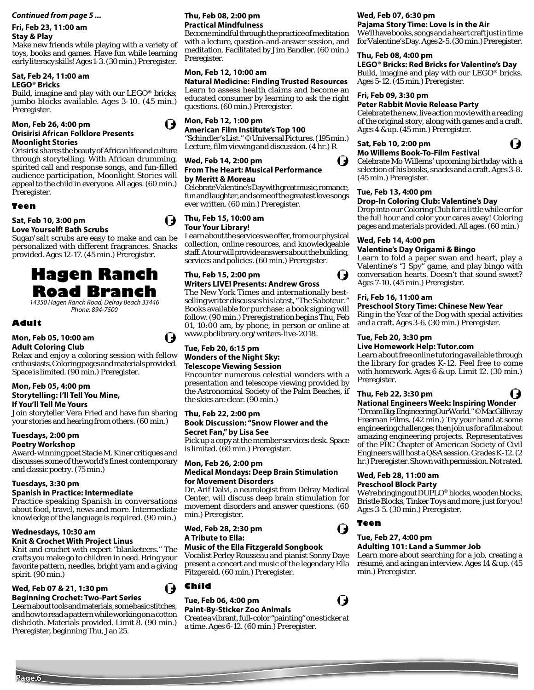#### **Continued from page 5 ... Thu, Feb 08, 2:00 pm**

# **Fri, Feb 23, 11:00 am Stay & Play**

Make new friends while playing with a variety of toys, books and games. Have fun while learning early literacy skills! Ages 1-3. (30 min.) Preregister.

# **Sat, Feb 24, 11:00 am**

### **LEGO® Bricks**

Build, imagine and play with our LEGO® bricks; jumbo blocks available. Ages 3-10. (45 min.) Preregister.

#### **Mon, Feb 26, 4:00 pm Orisirisi African Folklore Presents Moonlight Stories**

Orisirisi shares the beauty of African life and culture through storytelling. With African drumming, spirited call and response songs, and fun-filled audience participation, Moonlight Stories will appeal to the child in everyone. All ages. (60 min.) Preregister.

# **Teen**

#### **Sat, Feb 10, 3:00 pm Love Yourself! Bath Scrubs**

Sugar/salt scrubs are easy to make and can be personalized with different fragrances. Snacks provided. Ages 12-17. (45 min.) Preregister.

# **Hagen Ranch Road Branch** *14350 Hagen Ranch Road, Delray Beach 33446*

*Phone: 894-7500*

# **Adult**

#### **Mon, Feb 05, 10:00 am Adult Coloring Club**

Relax and enjoy a coloring session with fellow enthusiasts. Coloring pages and materials provided. Space is limited. (90 min.) Preregister.

#### **Mon, Feb 05, 4:00 pm Storytelling: I'll Tell You Mine, If You'll Tell Me Yours**

Join storyteller Vera Fried and have fun sharing your stories and hearing from others. (60 min.)

# **Tuesdays, 2:00 pm**

# **Poetry Workshop**

Award-winning poet Stacie M. Kiner critiques and discusses some of the world's finest contemporary and classic poetry. (75 min.)

# **Tuesdays, 3:30 pm**

# **Spanish in Practice: Intermediate**

Practice speaking Spanish in conversations about food, travel, news and more. Intermediate knowledge of the language is required. (90 min.)

# **Wednesdays, 10:30 am**

# **Knit & Crochet With Project Linus**

Knit and crochet with expert "blanketeers." The crafts you make go to children in need. Bring your favorite pattern, needles, bright yarn and a giving spirit. (90 min.)

# **Wed, Feb 07 & 21, 1:30 pm Beginning Crochet: Two-Part Series**



Learn about tools and materials, some basic stitches, and how to read a pattern while working on a cotton dishcloth. Materials provided. Limit 8. (90 min.) Preregister, beginning Thu, Jan 25.

# **Practical Mindfulness**

Become mindful through the practice of meditation with a lecture, question-and-answer session, and meditation. Facilitated by Jim Bandler. (60 min.) Preregister.

### **Mon, Feb 12, 10:00 am**

**Natural Medicine: Finding Trusted Resources** Learn to assess health claims and become an educated consumer by learning to ask the right questions. (60 min.) Preregister.

**Mon, Feb 12, 1:00 pm** 

**American Film Institute's Top 100**  "Schindler's List." ©Universal Pictures. (195 min.) Lecture, film viewing and discussion. (4 hr.) R

### **Wed, Feb 14, 2:00 pm From The Heart: Musical Performance**

# **by Meritt & Moreau**

Celebrate Valentine's Day with great music, romance, fun and laughter, and some of the greatest love songs ever written. (60 min.) Preregister.

# **Thu, Feb 15, 10:00 am Tour Your Library!**

Learn about the services we offer, from our physical collection, online resources, and knowledgeable staff. A tour will provide answers about the building, services and policies. (60 min.) Preregister.

#### **Thu, Feb 15, 2:00 pm Writers LIVE! Presents: Andrew Gross**

The New York Times and internationally bestselling writer discusses his latest, "The Saboteur." Books available for purchase; a book signing will follow. (90 min.) Preregistration begins Thu, Feb 01, 10:00 am, by phone, in person or online at www.pbclibrary.org/writers-live-2018.

### **Tue, Feb 20, 6:15 pm Wonders of the Night Sky: Telescope Viewing Session**

Encounter numerous celestial wonders with a presentation and telescope viewing provided by the Astronomical Society of the Palm Beaches, if the skies are clear. (90 min.)

# **Thu, Feb 22, 2:00 pm**

#### **Book Discussion: "Snow Flower and the Secret Fan," by Lisa See**

Pick up a copy at the member services desk. Space is limited. (60 min.) Preregister.

#### **Mon, Feb 26, 2:00 pm Medical Mondays: Deep Brain Stimulation for Movement Disorders**

Dr. Arif Dalvi, a neurologist from Delray Medical Center, will discuss deep brain stimulation for movement disorders and answer questions. (60 min.) Preregister.

**Wed, Feb 28, 2:30 pm A Tribute to Ella:** 

### **Music of the Ella Fitzgerald Songbook**

Vocalist Perley Rousseau and pianist Sonny Daye present a concert and music of the legendary Ella Fitzgerald. (60 min.) Preregister.

**Child**

### **Tue, Feb 06, 4:00 pm**

# **Paint-By-Sticker Zoo Animals**

# **Wed, Feb 07, 6:30 pm**

**Pajama Story Time: Love Is in the Air** We'll have books, songs and a heart craft just in time for Valentine's Day. Ages 2-5. (30 min.) Preregister.

# **Thu, Feb 08, 4:00 pm**

**LEGO® Bricks: Red Bricks for Valentine's Day** Build, imagine and play with our LEGO® bricks. Ages 5-12. (45 min.) Preregister.

# **Fri, Feb 09, 3:30 pm**

## **Peter Rabbit Movie Release Party**

Celebrate the new, live action movie with a reading of the original story, along with games and a craft. Ages 4 & up. (45 min.) Preregister.

# **Sat, Feb 10, 2:00 pm**



**Mo Willems Book-To-Film Festival** Celebrate Mo Willems' upcoming birthday with a selection of his books, snacks and a craft. Ages 3-8. (45 min.) Preregister.

# **Tue, Feb 13, 4:00 pm**

# **Drop-In Coloring Club: Valentine's Day**

Drop into our Coloring Club for a little while or for the full hour and color your cares away! Coloring pages and materials provided. All ages. (60 min.)

#### **Wed, Feb 14, 4:00 pm Valentine's Day Origami & Bingo**

Learn to fold a paper swan and heart, play a Valentine's "I Spy" game, and play bingo with conversation hearts. Doesn't that sound sweet? Ages 7-10. (45 min.) Preregister.

# **Fri, Feb 16, 11:00 am**

# **Preschool Story Time: Chinese New Year**

Ring in the Year of the Dog with special activities and a craft. Ages 3-6. (30 min.) Preregister.

#### **Tue, Feb 20, 3:30 pm**

#### **Live Homework Help: Tutor.com**

Learn about free online tutoring available through the library for grades K-12. Feel free to come with homework. Ages 6 & up. Limit 12. (30 min.) Preregister.

#### **Thu, Feb 22, 3:30 pm**

#### I) **National Engineers Week: Inspiring Wonder**

"Dream Big: Engineering Our World." ©MacGillivray Freeman Films. (42 min.) Try your hand at some engineering challenges; then join us for a film about amazing engineering projects. Representatives of the PBC Chapter of American Society of Civil Engineers will host a Q&A session. Grades K-12. (2 hr.) Preregister. Shown with permission. Not rated.

#### **Wed, Feb 28, 11:00 am Preschool Block Party**

We're bringing out DUPLO® blocks, wooden blocks, Bristle Blocks, Tinker Toys and more, just for you! Ages 3-5. (30 min.) Preregister.

# **Teen**

# **Tue, Feb 27, 4:00 pm**

# **Adulting 101: Land a Summer Job**

Learn more about searching for a job, creating a résumé, and acing an interview. Ages 14 & up. (45 min.) Preregister.

Create a vibrant, full-color "painting" one sticker at a time. Ages 6-12. (60 min.) Preregister.





 $\mathbf t$ 

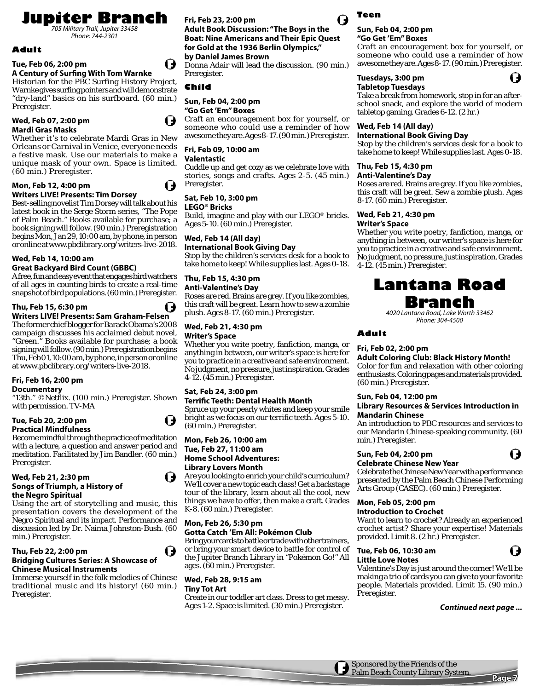**Jupiter Branch** *705 Military Trail, Jupiter 33458*

*Phone: 744-2301*

### **Adult**

#### **Tue, Feb 06, 2:00 pm**

#### **A Century of Surfing With Tom Warnke**

Historian for the PBC Surfing History Project, Warnke gives surfing pointers and will demonstrate "dry-land" basics on his surfboard. (60 min.) Preregister.

#### **Wed, Feb 07, 2:00 pm Mardi Gras Masks**

Whether it's to celebrate Mardi Gras in New Orleans or Carnival in Venice, everyone needs a festive mask. Use our materials to make a unique mask of your own. Space is limited. (60 min.) Preregister.

#### **Mon, Feb 12, 4:00 pm Writers LIVE! Presents: Tim Dorsey**

Best-selling novelist Tim Dorsey will talk about his latest book in the Serge Storm series, "The Pope of Palm Beach." Books available for purchase; a book signing will follow. (90 min.) Preregistration begins Mon, Jan 29, 10:00 am, by phone, in person or online at www.pbclibrary.org/writers-live-2018.

**Wed, Feb 14, 10:00 am** 

#### **Great Backyard Bird Count (GBBC)**

A free, fun and easy event that engages bird watchers of all ages in counting birds to create a real-time snapshot of bird populations. (60 min.) Preregister.

#### **Thu, Feb 15, 6:30 pm**

**Writers LIVE! Presents: Sam Graham-Felsen** The former chief blogger for Barack Obama's 2008 campaign discusses his acclaimed debut novel, "Green." Books available for purchase; a book signing will follow. (90 min.) Preregistration begins Thu, Feb 01, 10:00 am, by phone, in person or online at www.pbclibrary.org/writers-live-2018.

### **Fri, Feb 16, 2:00 pm**

#### **Documentary**

"13th." ©Netflix. (100 min.) Preregister. Shown with permission. TV-MA

#### **Tue, Feb 20, 2:00 pm Practical Mindfulness**

Become mindful through the practice of meditation with a lecture, a question and answer period and meditation. Facilitated by Jim Bandler. (60 min.) Preregister.

#### **Wed, Feb 21, 2:30 pm Songs of Triumph, a History of the Negro Spiritual**

Using the art of storytelling and music, this presentation covers the development of the Negro Spiritual and its impact. Performance and discussion led by Dr. Naima Johnston-Bush. (60 min.) Preregister.

#### **Thu, Feb 22, 2:00 pm Bridging Cultures Series: A Showcase of Chinese Musical Instruments**

Immerse yourself in the folk melodies of Chinese traditional music and its history! (60 min.) Preregister.

# **Fri, Feb 23, 2:00 pm**

**Adult Book Discussion: "The Boys in the Boat: Nine Americans and Their Epic Quest for Gold at the 1936 Berlin Olympics," by Daniel James Brown**

Donna Adair will lead the discussion. (90 min.) Preregister.

#### **Child**

#### **Sun, Feb 04, 2:00 pm**

**"Go Get 'Em" Boxes** Craft an encouragement box for yourself, or someone who could use a reminder of how awesome they are. Ages 8-17. (90 min.) Preregister.

#### **Fri, Feb 09, 10:00 am**

#### **Valentastic**

Cuddle up and get cozy as we celebrate love with stories, songs and crafts. Ages 2-5. (45 min.) Preregister.

#### **Sat, Feb 10, 3:00 pm**

**LEGO® Bricks**

Build, imagine and play with our LEGO® bricks. Ages 5-10. (60 min.) Preregister.

#### **Wed, Feb 14 (All day) International Book Giving Day**

Stop by the children's services desk for a book to take home to keep! While supplies last. Ages 0-18.

#### **Thu, Feb 15, 4:30 pm Anti-Valentine's Day**

Roses are red. Brains are grey. If you like zombies, this craft will be great. Learn how to sew a zombie plush. Ages 8-17. (60 min.) Preregister.

#### **Wed, Feb 21, 4:30 pm Writer's Space**

Whether you write poetry, fanfiction, manga, or anything in between, our writer's space is here for you to practice in a creative and safe environment. No judgment, no pressure, just inspiration. Grades 4-12. (45 min.) Preregister.

# **Sat, Feb 24, 3:00 pm**

**Terrific Teeth: Dental Health Month** Spruce up your pearly whites and keep your smile bright as we focus on our terrific teeth. Ages 5-10. (60 min.) Preregister.

# **Mon, Feb 26, 10:00 am Tue, Feb 27, 11:00 am**

**Home School Adventures: Library Lovers Month**

Are you looking to enrich your child's curriculum? We'll cover a new topic each class! Get a backstage tour of the library, learn about all the cool, new things we have to offer, then make a craft. Grades K-8. (60 min.) Preregister.

#### **Mon, Feb 26, 5:30 pm Gotta Catch 'Em All: Pokémon Club**

Bring your cards to battle or trade with other trainers, or bring your smart device to battle for control of the Jupiter Branch Library in "Pokémon Go!" All ages. (60 min.) Preregister.

### **Wed, Feb 28, 9:15 am**

#### **Tiny Tot Art**

Create in our toddler art class. Dress to get messy. Ages 1-2. Space is limited. (30 min.) Preregister.



#### **Sun, Feb 04, 2:00 pm "Go Get 'Em" Boxes**

Craft an encouragement box for yourself, or someone who could use a reminder of how awesome they are. Ages 8-17. (90 min.) Preregister.

#### **Tuesdays, 3:00 pm Tabletop Tuesdays**

Take a break from homework, stop in for an afterschool snack, and explore the world of modern tabletop gaming. Grades 6-12. (2 hr.)

#### **Wed, Feb 14 (All day)**

#### **International Book Giving Day**

Stop by the children's services desk for a book to take home to keep! While supplies last. Ages 0-18.

#### **Thu, Feb 15, 4:30 pm**

#### **Anti-Valentine's Day**

Roses are red. Brains are grey. If you like zombies, this craft will be great. Sew a zombie plush. Ages 8-17. (60 min.) Preregister.

#### **Wed, Feb 21, 4:30 pm Writer's Space**

Whether you write poetry, fanfiction, manga, or anything in between, our writer's space is here for you to practice in a creative and safe environment. No judgment, no pressure, just inspiration. Grades 4-12. (45 min.) Preregister.

# **Lantana Road Branch**

*4020 Lantana Road, Lake Worth 33462 Phone: 304-4500*

# **Adult**

#### **Fri, Feb 02, 2:00 pm**

**Adult Coloring Club: Black History Month!** Color for fun and relaxation with other coloring enthusiasts. Coloring pages and materials provided. (60 min.) Preregister.

#### **Sun, Feb 04, 12:00 pm**

#### **Library Resources & Services Introduction in Mandarin Chinese**

An introduction to PBC resources and services to our Mandarin Chinese-speaking community. (60 min.) Preregister.

#### **Sun, Feb 04, 2:00 pm**

#### **Celebrate Chinese New Year**

Celebrate the Chinese New Year with a performance presented by the Palm Beach Chinese Performing Arts Group (CASEC). (60 min.) Preregister.

#### **Mon, Feb 05, 2:00 pm Introduction to Crochet**

Want to learn to crochet? Already an experienced crochet artist? Share your expertise! Materials provided. Limit 8. (2 hr.) Preregister.

### **Tue, Feb 06, 10:30 am Little Love Notes**

Valentine's Day is just around the corner! We'll be making a trio of cards you can give to your favorite people. Materials provided. Limit 15. (90 min.) Preregister.

**Continued next page ...**

G

U







I J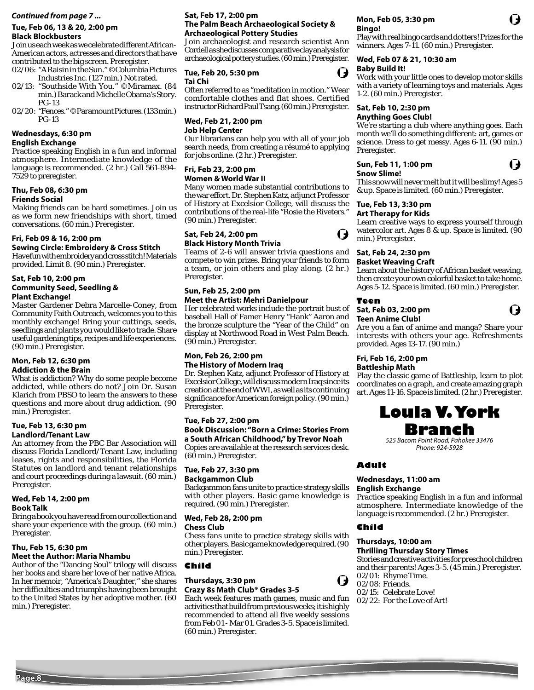#### **Continued from page 7 ... Sat, Feb 17, 2:00 pm**

#### **Tue, Feb 06, 13 & 20, 2:00 pm Black Blockbusters**

Join us each week as we celebrate different African-American actors, actresses and directors that have contributed to the big screen. Preregister.

02/06: "A Raisin in the Sun." ©Columbia Pictures Industries Inc. (127 min.) Not rated.

- 02/13: "Southside With You." ©Miramax. (84 min.) Barack and Michelle Obama's Story. PG-13
- 02/20: "Fences." ©Paramount Pictures. (133 min.) PG-13

# **Wednesdays, 6:30 pm**

#### **English Exchange**

Practice speaking English in a fun and informal atmosphere. Intermediate knowledge of the language is recommended. (2 hr.) Call 561-894- 7529 to preregister.

#### **Thu, Feb 08, 6:30 pm Friends Social**

Making friends can be hard sometimes. Join us as we form new friendships with short, timed conversations. (60 min.) Preregister.

#### **Fri, Feb 09 & 16, 2:00 pm**

**Sewing Circle: Embroidery & Cross Stitch** Have fun with embroidery and cross stitch! Materials

provided. Limit 8. (90 min.) Preregister.

#### **Sat, Feb 10, 2:00 pm Community Seed, Seedling & Plant Exchange!**

Master Gardener Debra Marcelle-Coney, from Community Faith Outreach, welcomes you to this monthly exchange! Bring your cuttings, seeds, seedlings and plants you would like to trade. Share useful gardening tips, recipes and life experiences. (90 min.) Preregister.

#### **Mon, Feb 12, 6:30 pm Addiction & the Brain**

What is addiction? Why do some people become addicted, while others do not? Join Dr. Susan Klarich from PBSO to learn the answers to these questions and more about drug addiction. (90 min.) Preregister.

#### **Tue, Feb 13, 6:30 pm Landlord/Tenant Law**

An attorney from the PBC Bar Association will discuss Florida Landlord/Tenant Law, including leases, rights and responsibilities, the Florida Statutes on landlord and tenant relationships and court proceedings during a lawsuit. (60 min.) Preregister.

#### **Wed, Feb 14, 2:00 pm Book Talk**

Bring a book you have read from our collection and share your experience with the group. (60 min.) Preregister.

#### **Thu, Feb 15, 6:30 pm Meet the Author: Maria Nhambu**

Author of the "Dancing Soul" trilogy will discuss her books and share her love of her native Africa. In her memoir, "America's Daughter," she shares her difficulties and triumphs having been brought to the United States by her adoptive mother. (60 min.) Preregister.

# **The Palm Beach Archaeological Society & Archaeological Pottery Studies**

Join archaeologist and research scientist Ann Cordell as she discusses comparative clay analysis for archaeological pottery studies. (60 min.) Preregister.

#### **Tue, Feb 20, 5:30 pm Tai Chi**

Often referred to as "meditation in motion." Wear comfortable clothes and flat shoes. Certified instructor Richard Paul Tsang. (60 min.) Preregister.

#### **Wed, Feb 21, 2:00 pm Job Help Center**

Our librarians can help you with all of your job search needs, from creating a résumé to applying for jobs online. (2 hr.) Preregister.

#### **Fri, Feb 23, 2:00 pm Women & World War II**

Many women made substantial contributions to the war effort. Dr. Stephen Katz, adjunct Professor of History at Excelsior College, will discuss the contributions of the real-life "Rosie the Riveters." (90 min.) Preregister.

#### **Sat, Feb 24, 2:00 pm Black History Month Trivia**

Teams of 2-6 will answer trivia questions and compete to win prizes. Bring your friends to form a team, or join others and play along. (2 hr.) Preregister.

#### **Sun, Feb 25, 2:00 pm**

#### **Meet the Artist: Mehri Danielpour**

Her celebrated works include the portrait bust of baseball Hall of Famer Henry "Hank" Aaron and the bronze sculpture the "Year of the Child" on display at Northwood Road in West Palm Beach. (90 min.) Preregister.

#### **Mon, Feb 26, 2:00 pm The History of Modern Iraq**

Dr. Stephen Katz, adjunct Professor of History at Excelsior College, will discuss modern Iraq since its creation at the end of WWI, as well as its continuing significance for American foreign policy. (90 min.) Preregister.

#### **Tue, Feb 27, 2:00 pm Book Discussion: "Born a Crime: Stories From a South African Childhood," by Trevor Noah** Copies are available at the research services desk. (60 min.) Preregister.

#### **Tue, Feb 27, 3:30 pm Backgammon Club**

Backgammon fans unite to practice strategy skills with other players. Basic game knowledge is required. (90 min.) Preregister.

# **Wed, Feb 28, 2:00 pm**

**Chess Club**

Chess fans unite to practice strategy skills with other players. Basic game knowledge required. (90 min.) Preregister.

**Child**

#### **Thursdays, 3:30 pm Crazy 8s Math Club® Grades 3-5**

Each week features math games, music and fun activities that build from previous weeks; it is highly recommended to attend all five weekly sessions from Feb 01 - Mar 01. Grades 3-5. Space is limited. (60 min.) Preregister.

#### **Mon, Feb 05, 3:30 pm Bingo!**

Play with real bingo cards and dotters! Prizes for the winners. Ages 7-11. (60 min.) Preregister.

# **Wed, Feb 07 & 21, 10:30 am**

#### **Baby Build It!**

Work with your little ones to develop motor skills with a variety of learning toys and materials. Ages 1-2. (60 min.) Preregister.

# **Sat, Feb 10, 2:30 pm**

#### **Anything Goes Club!**

We're starting a club where anything goes. Each month we'll do something different: art, games or science. Dress to get messy. Ages 6-11. (90 min.) Preregister.

#### **Sun, Feb 11, 1:00 pm**

#### **Snow Slime!**

This snow will never melt but it will be slimy! Ages 5 & up. Space is limited. (60 min.) Preregister.

#### **Tue, Feb 13, 3:30 pm Art Therapy for Kids**

Learn creative ways to express yourself through watercolor art. Ages 8 & up. Space is limited. (90 min.) Preregister.

#### **Sat, Feb 24, 2:30 pm Basket Weaving Craft**

#### Learn about the history of African basket weaving, then create your own colorful basket to take home. Ages 5-12. Space is limited. (60 min.) Preregister.

#### **Teen**

#### **Sat, Feb 03, 2:00 pm Teen Anime Club!**

Are you a fan of anime and manga? Share your interests with others your age. Refreshments provided. Ages 13-17. (90 min.)

#### **Fri, Feb 16, 2:00 pm Battleship Math**

Play the classic game of Battleship, learn to plot coordinates on a graph, and create amazing graph art. Ages 11-16. Space is limited. (2 hr.) Preregister.

# **Loula V. York**

*525 Bacom Point Road, Pahokee 33476 Phone: 924-5928*

### **Wednesdays, 11:00 am**

Practice speaking English in a fun and informal atmosphere. Intermediate knowledge of the language is recommended. (2 hr.) Preregister.

### **Child**

#### **Thursdays, 10:00 am Thrilling Thursday Story Times**

Stories and creative activities for preschool children and their parents! Ages 3-5. (45 min.) Preregister. 02/01: Rhyme Time. 02/08: Friends.

- 02/15: Celebrate Love!
- 02/22: For the Love of Art!

I,



**Adult**

**English Exchange**





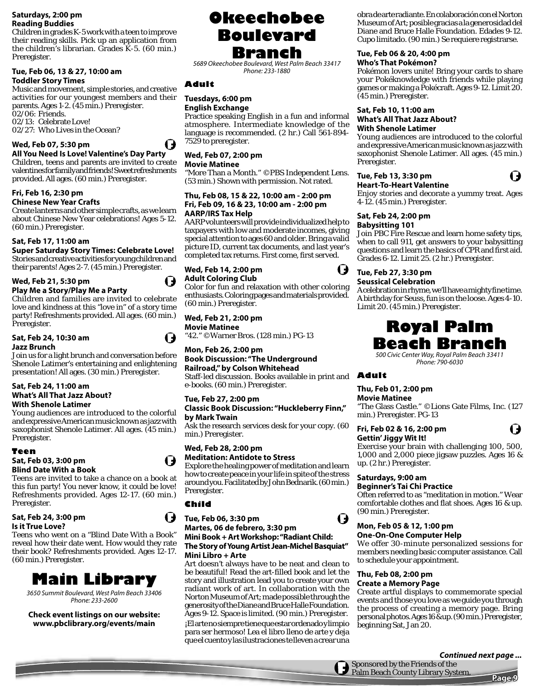#### **Saturdays, 2:00 pm Reading Buddies**

Children in grades K-5 work with a teen to improve their reading skills. Pick up an application from the children's librarian. Grades K-5. (60 min.) Preregister.

### **Tue, Feb 06, 13 & 27, 10:00 am Toddler Story Times**

Music and movement, simple stories, and creative activities for our youngest members and their parents. Ages 1-2. (45 min.) Preregister. 02/06: Friends. 02/13: Celebrate Love! 02/27: Who Lives in the Ocean?

**Wed, Feb 07, 5:30 pm** 

#### **All You Need Is Love! Valentine's Day Party** Children, teens and parents are invited to create valentines for family and friends! Sweet refreshments

provided. All ages. (60 min.) Preregister. **Fri, Feb 16, 2:30 pm Chinese New Year Crafts**

Create lanterns and other simple crafts, as we learn about Chinese New Year celebrations! Ages 5-12. (60 min.) Preregister.

### **Sat, Feb 17, 11:00 am**

**Super Saturday Story Times: Celebrate Love!**  Stories and creative activities for young children and their parents! Ages 2-7. (45 min.) Preregister.

# **Wed, Feb 21, 5:30 pm**

**Play Me a Story/Play Me a Party** Children and families are invited to celebrate love and kindness at this "love in" of a story time party! Refreshments provided. All ages. (60 min.) Preregister.

#### **Sat, Feb 24, 10:30 am Jazz Brunch**

Join us for a light brunch and conversation before Shenole Latimer's entertaining and enlightening presentation! All ages. (30 min.) Preregister.

#### **Sat, Feb 24, 11:00 am What's All That Jazz About? With Shenole Latimer**

Young audiences are introduced to the colorful and expressive American music known as jazz with saxophonist Shenole Latimer. All ages. (45 min.) Preregister.

# **Teen**

**Sat, Feb 03, 3:00 pm Blind Date With a Book**

Teens are invited to take a chance on a book at this fun party! You never know, it could be love! Refreshments provided. Ages 12-17. (60 min.) Preregister.

**Sat, Feb 24, 3:00 pm Is it True Love?**

#### Teens who went on a "Blind Date With a Book" reveal how their date went. How would they rate their book? Refreshments provided. Ages 12-17. (60 min.) Preregister.



*3650 Summit Boulevard, West Palm Beach 33406 Phone: 233-2600*

**Check event listings on our website: www.pbclibrary.org/events/main**

# **Okeechobee Boulevard Branch**

*5689 Okeechobee Boulevard, West Palm Beach 33417 Phone: 233-1880*

# **Adult**

#### **Tuesdays, 6:00 pm English Exchange**

Practice speaking English in a fun and informal atmosphere. Intermediate knowledge of the language is recommended. (2 hr.) Call 561-894- 7529 to preregister.

# **Wed, Feb 07, 2:00 pm**

**Movie Matinee**

"More Than a Month." ©PBS Independent Lens. (53 min.) Shown with permission. Not rated.

#### **Thu, Feb 08, 15 & 22, 10:00 am - 2:00 pm Fri, Feb 09, 16 & 23, 10:00 am - 2:00 pm AARP/IRS Tax Help**

AARP volunteers will provide individualized help to taxpayers with low and moderate incomes, giving special attention to ages 60 and older. Bring a valid picture ID, current tax documents, and last year's completed tax returns. First come, first served.

#### **Wed, Feb 14, 2:00 pm Adult Coloring Club**



Color for fun and relaxation with other coloring enthusiasts. Coloring pages and materials provided. (60 min.) Preregister.

**Wed, Feb 21, 2:00 pm Movie Matinee**

"42." ©Warner Bros. (128 min.) PG-13

### **Mon, Feb 26, 2:00 pm Book Discussion: "The Underground Railroad," by Colson Whitehead**

Staff-led discussion. Books available in print and **Adult** e-books. (60 min.) Preregister.

# **Tue, Feb 27, 2:00 pm**

**Classic Book Discussion: "Huckleberry Finn," by Mark Twain**

Ask the research services desk for your copy. (60 min.) Preregister.

# **Wed, Feb 28, 2:00 pm Meditation: Antidote to Stress**

Explore the healing power of meditation and learn how to create peace in your life in spite of the stress around you. Facilitated by John Bednarik. (60 min.) Preregister.

# **Child**

#### ( J **Tue, Feb 06, 3:30 pm Martes, 06 de febrero, 3:30 pm Mini Book + Art Workshop: "Radiant Child: The Story of Young Artist Jean-Michel Basquiat" Mini Libro + Arte**

Art doesn't always have to be neat and clean to be beautiful! Read the art-filled book and let the story and illustration lead you to create your own radiant work of art. In collaboration with the Norton Museum of Art; made possible through the generosity of the Diane and Bruce Halle Foundation. Ages 9-12. Space is limited. (90 min.) Preregister. ¡El arte no siempre tiene que estar ordenado y limpio para ser hermoso! Lea el libro lleno de arte y deja que el cuento y las ilustraciones te lleven a crear una

obra de arte radiante. En colaboración con el Norton Museum of Art; posible gracias a la generosidad del Diane and Bruce Halle Foundation. Edades 9-12. Cupo limitado. (90 min.) Se requiere registrarse.

#### **Tue, Feb 06 & 20, 4:00 pm Who's That Pokémon?**

Pokémon lovers unite! Bring your cards to share your Pokéknowledge with friends while playing games or making a Pokécraft. Ages 9-12. Limit 20. (45 min.) Preregister.

#### **Sat, Feb 10, 11:00 am What's All That Jazz About? With Shenole Latimer**

Young audiences are introduced to the colorful and expressive American music known as jazz with saxophonist Shenole Latimer. All ages. (45 min.) Preregister.

# **Tue, Feb 13, 3:30 pm**

( J

 $\mathbf t$ 

**Heart-To-Heart Valentine** Enjoy stories and decorate a yummy treat. Ages 4-12. (45 min.) Preregister.

# **Sat, Feb 24, 2:00 pm**

**Babysitting 101** Join PBC Fire Rescue and learn home safety tips, when to call 911, get answers to your babysitting questions and learn the basics of CPR and first aid. Grades 6-12. Limit 25. (2 hr.) Preregister.

# **Tue, Feb 27, 3:30 pm Seussical Celebration**

A celebration in rhyme, we'll have a mighty fine time. A birthday for Seuss, fun is on the loose. Ages 4-10. Limit 20. (45 min.) Preregister.

# **Royal Palm Beach Branch**

*500 Civic Center Way, Royal Palm Beach 33411 Phone: 790-6030*

# **Thu, Feb 01, 2:00 pm**

**Movie Matinee** "The Glass Castle." ©Lions Gate Films, Inc. (127 min.) Preregister. PG-13

### **Fri, Feb 02 & 16, 2:00 pm Gettin' Jiggy Wit It!**

Exercise your brain with challenging 100, 500, 1,000 and 2,000 piece jigsaw puzzles. Ages 16 & up. (2 hr.) Preregister.

# **Saturdays, 9:00 am**

# **Beginner's Tai Chi Practice**

Often referred to as "meditation in motion." Wear comfortable clothes and flat shoes. Ages 16 & up. (90 min.) Preregister.

#### **Mon, Feb 05 & 12, 1:00 pm One-On-One Computer Help**

We offer 30-minute personalized sessions for members needing basic computer assistance. Call to schedule your appointment.

#### **Thu, Feb 08, 2:00 pm Create a Memory Page**

Create artful displays to commemorate special events and those you love as we guide you through the process of creating a memory page. Bring personal photos. Ages 16 & up. (90 min.) Preregister, beginning Sat, Jan 20.

### **Continued next page ...**

Sponsored by the Friends of the Palm Beach County Library System.

**Page 9**





l J

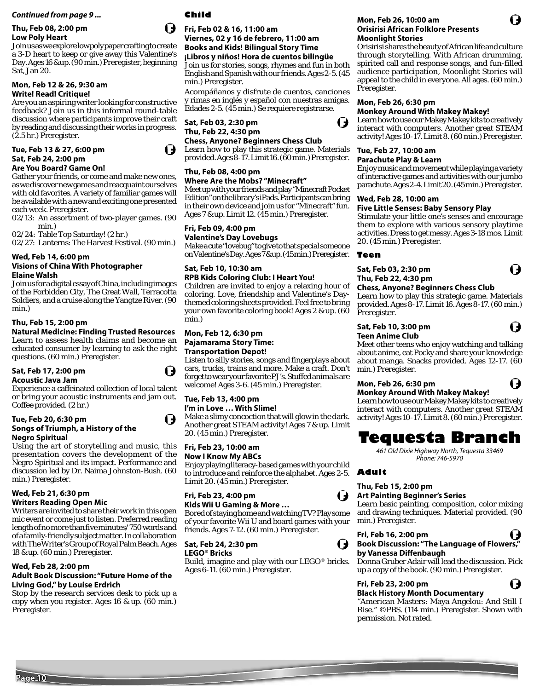#### **Thu, Feb 08, 2:00 pm Low Poly Heart**

Join us as we explore low poly paper crafting to create a 3-D heart to keep or give away this Valentine's Day. Ages 16 & up. (90 min.) Preregister, beginning Sat, Jan 20.

#### **Mon, Feb 12 & 26, 9:30 am Write! Read! Critique!**

Are you an aspiring writer looking for constructive feedback? Join us in this informal round-table discussion where participants improve their craft by reading and discussing their works in progress. (2.5 hr.) Preregister.

# **Tue, Feb 13 & 27, 6:00 pm Sat, Feb 24, 2:00 pm**

#### **Are You Board? Game On!**

Gather your friends, or come and make new ones, as we discover new games and reacquaint ourselves with old favorites. A variety of familiar games will be available with a new and exciting one presented each week. Preregister.

02/13: An assortment of two-player games. (90 min.)

02/24: Table Top Saturday! (2 hr.)

02/27: Lanterns: The Harvest Festival. (90 min.)

### **Wed, Feb 14, 6:00 pm**

#### **Visions of China With Photographer Elaine Walsh**

Join us for a digital essay of China, including images of the Forbidden City, The Great Wall, Terracotta Soldiers, and a cruise along the Yangtze River. (90 min.)

#### **Thu, Feb 15, 2:00 pm**

#### **Natural Medicine: Finding Trusted Resources** Learn to assess health claims and become an educated consumer by learning to ask the right questions. (60 min.) Preregister.

#### **Sat, Feb 17, 2:00 pm Acoustic Java Jam**

Experience a caffeinated collection of local talent or bring your acoustic instruments and jam out. Coffee provided. (2 hr.)

#### **Tue, Feb 20, 6:30 pm Songs of Triumph, a History of the Negro Spiritual**

Using the art of storytelling and music, this presentation covers the development of the Negro Spiritual and its impact. Performance and discussion led by Dr. Naima Johnston-Bush. (60 min.) Preregister.

#### **Wed, Feb 21, 6:30 pm Writers Reading Open Mic**

Writers are invited to share their work in this open mic event or come just to listen. Preferred reading length of no more than five minutes/750 words and of a family-friendly subject matter. In collaboration with The Writer's Group of Royal Palm Beach. Ages 18 & up. (60 min.) Preregister.

### **Wed, Feb 28, 2:00 pm**

#### **Adult Book Discussion: "Future Home of the Living God," by Louise Erdrich**

Stop by the research services desk to pick up a copy when you register. Ages 16 & up. (60 min.) Preregister.

# **Child**

#### **Fri, Feb 02 & 16, 11:00 am Viernes, 02 y 16 de febrero, 11:00 am Books and Kids! Bilingual Story Time ¡Libros y niños! Hora de cuentos bilingüe** Join us for stories, songs, rhymes and fun in both English and Spanish with our friends. Ages 2-5. (45 min.) Preregister.

Acompáñanos y disfrute de cuentos, canciones y rimas en inglés y español con nuestras amigas. Edades 2-5. (45 min.) Se requiere registrarse.

#### **Sat, Feb 03, 2:30 pm Thu, Feb 22, 4:30 pm Chess, Anyone? Beginners Chess Club**

Learn how to play this strategic game. Materials provided. Ages 8-17. Limit 16. (60 min.) Preregister.

### **Thu, Feb 08, 4:00 pm**

# **Where Are the Mobs? "Minecraft"**

Meet up with your friends and play "Minecraft Pocket Edition" on the library's iPads. Participants can bring in their own device and join us for "Minecraft" fun. Ages 7 & up. Limit 12. (45 min.) Preregister.

#### **Fri, Feb 09, 4:00 pm**

**Valentine's Day Lovebugs** Make a cute "lovebug" to give to that special someone on Valentine's Day. Ages 7 & up. (45 min.) Preregister.

## **Sat, Feb 10, 10:30 am RPB Kids Coloring Club: I Heart You!**

Children are invited to enjoy a relaxing hour of coloring. Love, friendship and Valentine's Daythemed coloring sheets provided. Feel free to bring your own favorite coloring book! Ages 2 & up. (60 min.)

#### **Mon, Feb 12, 6:30 pm Pajamarama Story Time: Transportation Depot!**

Listen to silly stories, songs and fingerplays about cars, trucks, trains and more. Make a craft. Don't forget to wear your favorite PJ's. Stuffed animals are welcome! Ages 3-6. (45 min.) Preregister.

# **Tue, Feb 13, 4:00 pm**

**I'm in Love … With Slime!** Make a slimy concoction that will glow in the dark. Another great STEAM activity! Ages 7 & up. Limit 20. (45 min.) Preregister.

# **Fri, Feb 23, 10:00 am**

#### **Now I Know My ABCs**

Enjoy playing literacy-based games with your child to introduce and reinforce the alphabet. Ages 2-5. Limit 20. (45 min.) Preregister.

#### **Fri, Feb 23, 4:00 pm Kids Wii U Gaming & More …**

Bored of staying home and watching TV? Play some of your favorite Wii U and board games with your friends. Ages 7-12. (60 min.) Preregister.

#### **Sat, Feb 24, 2:30 pm LEGO® Bricks**

Build, imagine and play with our LEGO® bricks. Ages 6-11. (60 min.) Preregister.

#### **Mon, Feb 26, 10:00 am Orisirisi African Folklore Presents Moonlight Stories**

Orisirisi shares the beauty of African life and culture through storytelling. With African drumming, spirited call and response songs, and fun-filled audience participation, Moonlight Stories will appeal to the child in everyone. All ages. (60 min.) Preregister.

#### **Mon, Feb 26, 6:30 pm**

#### **Monkey Around With Makey Makey!**

Learn how to use our Makey Makey kits to creatively interact with computers. Another great STEAM activity! Ages 10-17. Limit 8. (60 min.) Preregister.

# **Tue, Feb 27, 10:00 am**

**Parachute Play & Learn**

Enjoy music and movement while playing a variety of interactive games and activities with our jumbo parachute. Ages 2-4. Limit 20. (45 min.) Preregister.

#### **Wed, Feb 28, 10:00 am**

### **Five Little Senses: Baby Sensory Play**

Stimulate your little one's senses and encourage them to explore with various sensory playtime activities. Dress to get messy. Ages 3-18 mos. Limit 20. (45 min.) Preregister.

#### **Teen**

#### **Sat, Feb 03, 2:30 pm Thu, Feb 22, 4:30 pm**

#### **Chess, Anyone? Beginners Chess Club**

Learn how to play this strategic game. Materials provided. Ages 8-17. Limit 16. Ages 8-17. (60 min.) Preregister.

#### **Sat, Feb 10, 3:00 pm Teen Anime Club**

Meet other teens who enjoy watching and talking about anime, eat Pocky and share your knowledge about manga. Snacks provided. Ages 12-17. (60 min.) Preregister.

#### **Mon, Feb 26, 6:30 pm Monkey Around With Makey Makey!**

Learn how to use our Makey Makey kits to creatively interact with computers. Another great STEAM activity! Ages 10-17. Limit 8. (60 min.) Preregister.

# **Tequesta Branch**

*461 Old Dixie Highway North, Tequesta 33469 Phone: 746-5970*

# **Adult**

# **Thu, Feb 15, 2:00 pm**

### **Art Painting Beginner's Series**

Learn basic painting, composition, color mixing and drawing techniques. Material provided. (90 min.) Preregister.

#### **Fri, Feb 16, 2:00 pm Book Discussion: "The Language of Flowers," by Vanessa Diff enbaugh**

Donna Gruber Adair will lead the discussion. Pick up a copy of the book. (90 min.) Preregister.

#### **Fri, Feb 23, 2:00 pm Black History Month Documentary**

"American Masters: Maya Angelou: And Still I Rise." ©PBS. (114 min.) Preregister. Shown with permission. Not rated.









( J

Q













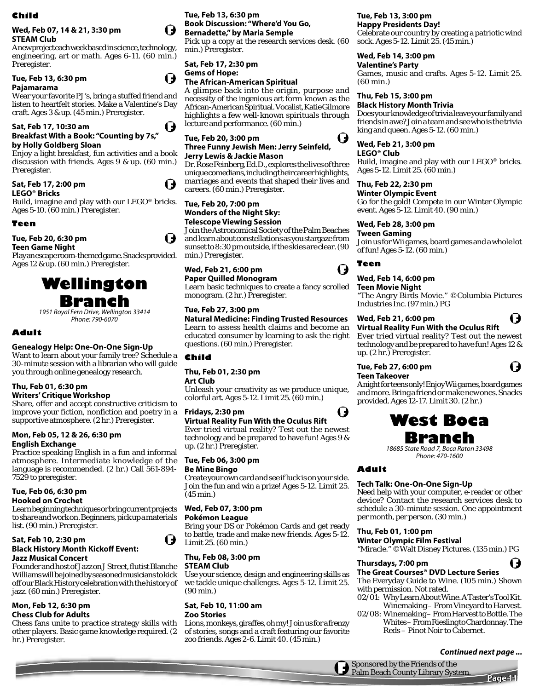#### **Child**

### **Wed, Feb 07, 14 & 21, 3:30 pm STEAM Club**

A new project each week based in science, technology, engineering, art or math. Ages 6-11. (60 min.) Preregister.

# **Tue, Feb 13, 6:30 pm**

## **Pajamarama**

Wear your favorite PJ's, bring a stuffed friend and listen to heartfelt stories. Make a Valentine's Day craft. Ages 3 & up. (45 min.) Preregister.

# **Sat, Feb 17, 10:30 am**

#### **Breakfast With a Book: "Counting by 7s," by Holly Goldberg Sloan**

Enjoy a light breakfast, fun activities and a book discussion with friends. Ages 9 & up. (60 min.) Preregister.

# **Sat, Feb 17, 2:00 pm**

**LEGO® Bricks**

Build, imagine and play with our LEGO® bricks. Ages 5-10. (60 min.) Preregister.

# **Teen**

# **Tue, Feb 20, 6:30 pm**

**Teen Game Night**

Play an escape room-themed game. Snacks provided. Ages 12 & up. (60 min.) Preregister.



*1951 Royal Fern Drive, Wellington 33414 Phone: 790-6070*

# **Adult**

# **Genealogy Help: One-On-One Sign-Up**

Want to learn about your family tree? Schedule a 30-minute session with a librarian who will guide you through online genealogy research.

# **Thu, Feb 01, 6:30 pm**

**Writers' Critique Workshop** Share, offer and accept constructive criticism to improve your fiction, nonfiction and poetry in a supportive atmosphere. (2 hr.) Preregister.

# **Mon, Feb 05, 12 & 26, 6:30 pm English Exchange**

Practice speaking English in a fun and informal atmosphere. Intermediate knowledge of the language is recommended. (2 hr.) Call 561-894- 7529 to preregister.

# **Tue, Feb 06, 6:30 pm**

**Hooked on Crochet**

Learn beginning techniques or bring current projects to share and work on. Beginners, pick up a materials list. (90 min.) Preregister.

### **Sat, Feb 10, 2:30 pm Black History Month Kickoff Event: Jazz Musical Concert**

Founder and host of Jazz on J Street, flutist Blanche Williams will be joined by seasoned musicians to kick off our Black History celebration with the history of jazz. (60 min.) Preregister.

# **Mon, Feb 12, 6:30 pm**

**Chess Club for Adults** Chess fans unite to practice strategy skills with other players. Basic game knowledge required. (2 hr.) Preregister.

# **Tue, Feb 13, 6:30 pm Book Discussion: "Where'd You Go, Bernadette," by Maria Semple**

Pick up a copy at the research services desk. (60 min.) Preregister.

# **Sat, Feb 17, 2:30 pm**

# **Gems of Hope:**

I J

U

 $\blacksquare$ 

I)

# **The African-American Spiritual**

A glimpse back into the origin, purpose and necessity of the ingenious art form known as the African-American Spiritual. Vocalist, Katie Gilmore highlights a few well-known spirituals through lecture and performance. (60 min.)

#### **Tue, Feb 20, 3:00 pm Three Funny Jewish Men: Jerry Seinfeld, Jerry Lewis & Jackie Mason**

Dr. Rose Feinberg, Ed.D., explores the lives of three unique comedians, including their career highlights, marriages and events that shaped their lives and careers. (60 min.) Preregister.

### **Tue, Feb 20, 7:00 pm Wonders of the Night Sky: Telescope Viewing Session**

Join the Astronomical Society of the Palm Beaches and learn about constellations as you stargaze from sunset to 8:30 pm outside, if the skies are clear. (90 min.) Preregister.

# **Wed, Feb 21, 6:00 pm**

# **Paper Quilled Monogram**

Learn basic techniques to create a fancy scrolled monogram. (2 hr.) Preregister.

# **Tue, Feb 27, 3:00 pm**

**Natural Medicine: Finding Trusted Resources** Learn to assess health claims and become an educated consumer by learning to ask the right questions. (60 min.) Preregister.

# **Child**

**Thu, Feb 01, 2:30 pm** 

**Art Club**

Unleash your creativity as we produce unique, colorful art. Ages 5-12. Limit 25. (60 min.)

# **Fridays, 2:30 pm**

### **Virtual Reality Fun With the Oculus Rift**

Ever tried virtual reality? Test out the newest technology and be prepared to have fun! Ages 9 & up. (2 hr.) Preregister.

# **Tue, Feb 06, 3:00 pm**

**Be Mine Bingo**

Create your own card and see if luck is on your side. Join the fun and win a prize! Ages 5-12. Limit 25. (45 min.)

# **Wed, Feb 07, 3:00 pm**

# **Pokémon League**

Bring your DS or Pokémon Cards and get ready to battle, trade and make new friends. Ages 5-12. Limit 25. (60 min.)

# **Thu, Feb 08, 3:00 pm**

# **STEAM Club**

 $\blacksquare$ 

Use your science, design and engineering skills as we tackle unique challenges. Ages 5-12. Limit 25. (90 min.)

#### **Sat, Feb 10, 11:00 am Zoo Stories**

Lions, monkeys, giraffes, oh my! Join us for a frenzy of stories, songs and a craft featuring our favorite zoo friends. Ages 2-6. Limit 40. (45 min.)

# **Tue, Feb 13, 3:00 pm**

**Happy Presidents Day!** Celebrate our country by creating a patriotic wind sock. Ages 5-12. Limit 25. (45 min.)

#### **Wed, Feb 14, 3:00 pm Valentine's Party**

Games, music and crafts. Ages 5-12. Limit 25. (60 min.)

# **Thu, Feb 15, 3:00 pm**

**Black History Month Trivia** Does your knowledge of trivia leave your family and friends in awe? Join a team and see who is the trivia king and queen. Ages 5-12. (60 min.)

# **Wed, Feb 21, 3:00 pm**

**LEGO® Club** Build, imagine and play with our LEGO® bricks. Ages 5-12. Limit 25. (60 min.)

# **Thu, Feb 22, 2:30 pm**

**Winter Olympic Event** Go for the gold! Compete in our Winter Olympic event. Ages 5-12. Limit 40. (90 min.)

# **Wed, Feb 28, 3:00 pm**

**Tween Gaming**

Join us for Wii games, board games and a whole lot of fun! Ages 5-12. (60 min.)

# **Teen**

# **Wed, Feb 14, 6:00 pm**

**Teen Movie Night** "The Angry Birds Movie." ©Columbia Pictures Industries Inc. (97 min.) PG

# **Wed, Feb 21, 6:00 pm**

**Virtual Reality Fun With the Oculus Rift** Ever tried virtual reality? Test out the newest

( J

( J

technology and be prepared to have fun! Ages 12 & up. (2 hr.) Preregister.

#### **Tue, Feb 27, 6:00 pm Teen Takeover**

A night for teens only! Enjoy Wii games, board games and more. Bring a friend or make new ones. Snacks provided. Ages 12-17. Limit 30. (2 hr.)



# **Branch**

*18685 State Road 7, Boca Raton 33498 Phone: 470-1600*

# **Adult**

U

# **Tech Talk: One-On-One Sign-Up**

Need help with your computer, e-reader or other device? Contact the research services desk to schedule a 30-minute session. One appointment per month, per person. (30 min.)

# **Thu, Feb 01, 1:00 pm**

**Winter Olympic Film Festival** "Miracle." ©Walt Disney Pictures. (135 min.) PG

# **Thursdays, 7:00 pm**

**The Great Courses® DVD Lecture Series** The Everyday Guide to Wine. (105 min.) Shown

with permission. Not rated.

Sponsored by the Friends of the Palm Beach County Library System.

- 02/01: Why Learn About Wine. A Taster's Tool Kit.
- Winemaking From Vineyard to Harvest. 02/08: Winemaking – From Harvest to Bottle. The Whites – From Riesling to Chardonnay. The
	- Reds Pinot Noir to Cabernet.

**Page 11**

**Continued next page ...**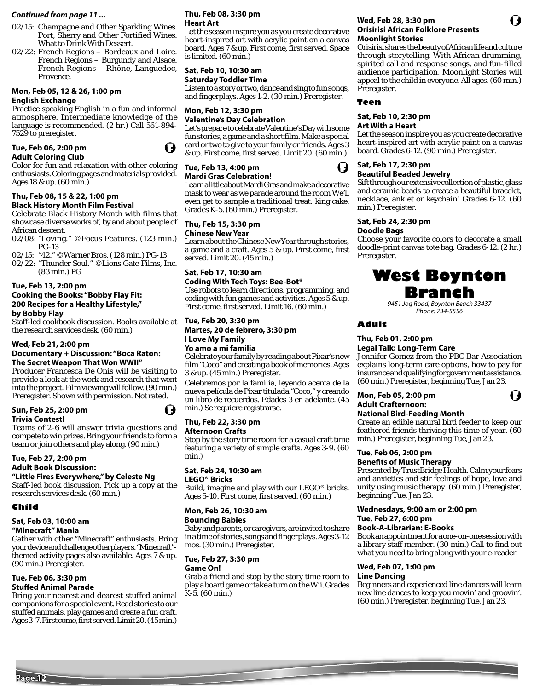#### **Continued from page 11 ...**

- 02/15: Champagne and Other Sparkling Wines. Port, Sherry and Other Fortified Wines. What to Drink With Dessert.
- 02/22: French Regions Bordeaux and Loire. French Regions – Burgundy and Alsace. French Regions – Rhône, Languedoc, Provence.

#### **Mon, Feb 05, 12 & 26, 1:00 pm English Exchange**

Practice speaking English in a fun and informal atmosphere. Intermediate knowledge of the language is recommended. (2 hr.) Call 561-894- 7529 to preregister.



 $\mathbf t$ 

#### **Tue, Feb 06, 2:00 pm Adult Coloring Club**

Color for fun and relaxation with other coloring enthusiasts. Coloring pages and materials provided. Ages 18 & up. (60 min.)

#### **Thu, Feb 08, 15 & 22, 1:00 pm Black History Month Film Festival**

Celebrate Black History Month with films that showcase diverse works of, by and about people of African descent.

02/08: "Loving." ©Focus Features. (123 min.) PG-13

02/15: "42." ©Warner Bros. (128 min.) PG-13

02/22: "Thunder Soul." ©Lions Gate Films, Inc. (83 min.) PG

**Tue, Feb 13, 2:00 pm** 

#### **Cooking the Books: "Bobby Flay Fit: 200 Recipes for a Healthy Lifestyle," by Bobby Flay**

Staff-led cookbook discussion. Books available at the research services desk. (60 min.)

#### **Wed, Feb 21, 2:00 pm**

#### **Documentary + Discussion: "Boca Raton: The Secret Weapon That Won WWII"**

Producer Francesca De Onis will be visiting to provide a look at the work and research that went into the project. Film viewing will follow. (90 min.) Preregister. Shown with permission. Not rated.

#### **Sun, Feb 25, 2:00 pm Trivia Contest!**

Teams of 2-6 will answer trivia questions and compete to win prizes. Bring your friends to form a team or join others and play along. (90 min.)

# **Tue, Feb 27, 2:00 pm**

# **Adult Book Discussion:**

#### **"Little Fires Everywhere," by Celeste Ng** Staff-led book discussion. Pick up a copy at the

research services desk. (60 min.)

#### **Child**

**Page 12**

#### **Sat, Feb 03, 10:00 am**

#### **"Minecraft" Mania**

Gather with other "Minecraft" enthusiasts. Bring your device and challenge other players. "Minecraft" themed activity pages also available. Ages 7 & up. (90 min.) Preregister.

#### **Tue, Feb 06, 3:30 pm Stuffed Animal Parade**

Bring your nearest and dearest stuffed animal companions for a special event. Read stories to our stuffed animals, play games and create a fun craft. Ages 3-7. First come, first served. Limit 20. (45 min.)

#### **Thu, Feb 08, 3:30 pm Heart Art**

Let the season inspire you as you create decorative heart-inspired art with acrylic paint on a canvas board. Ages 7 & up. First come, first served. Space is limited. (60 min.)

#### **Sat, Feb 10, 10:30 am Saturday Toddler Time**

Listen to a story or two, dance and sing to fun songs, and fingerplays. Ages 1-2. (30 min.) Preregister.

#### **Mon, Feb 12, 3:30 pm Valentine's Day Celebration**

Let's prepare to celebrate Valentine's Day with some fun stories, a game and a short film. Make a special card or two to give to your family or friends. Ages 3 & up. First come, first served. Limit 20. (60 min.)

#### **Tue, Feb 13, 4:00 pm Mardi Gras Celebration!**

Learn a little about Mardi Gras and make a decorative mask to wear as we parade around the room We'll even get to sample a traditional treat: king cake. Grades K-5. (60 min.) Preregister.

#### **Thu, Feb 15, 3:30 pm Chinese New Year**

Learn about the Chinese New Year through stories, a game and a craft. Ages 5 & up. First come, first served. Limit 20. (45 min.)

# **Sat, Feb 17, 10:30 am**

**Coding With Tech Toys: Bee-Bot®** Use robots to learn directions, programming, and coding with fun games and activities. Ages 5 & up. First come, first served. Limit 16. (60 min.)

#### **Tue, Feb 20, 3:30 pm Martes, 20 de febrero, 3:30 pm I Love My Family Yo amo a mi familia**  Celebrate your family by reading about Pixar's new

film "Coco" and creating a book of memories. Ages 3 & up. (45 min.) Preregister.

Celebremos por la familia, leyendo acerca de la nueva película de Pixar titulada "Coco," y creando un libro de recuerdos. Edades 3 en adelante. (45 min.) Se requiere registrarse.

#### **Thu, Feb 22, 3:30 pm Afternoon Crafts**

Stop by the story time room for a casual craft time featuring a variety of simple crafts. Ages 3-9. (60 min.)

#### **Sat, Feb 24, 10:30 am**

**LEGO® Bricks**

Build, imagine and play with our LEGO® bricks. Ages 5-10. First come, first served. (60 min.)

# **Mon, Feb 26, 10:30 am**

**Bouncing Babies**

Baby and parents, or caregivers, are invited to share in a time of stories, songs and fingerplays. Ages 3-12 mos. (30 min.) Preregister.

# **Tue, Feb 27, 3:30 pm**

**Game On!** Grab a friend and stop by the story time room to play a board game or take a turn on the Wii. Grades K-5. (60 min.)

#### **Wed, Feb 28, 3:30 pm Orisirisi African Folklore Presents Moonlight Stories**

Orisirisi shares the beauty of African life and culture through storytelling. With African drumming, spirited call and response songs, and fun-filled audience participation, Moonlight Stories will appeal to the child in everyone. All ages. (60 min.) Preregister.

#### **Teen**

# **Sat, Feb 10, 2:30 pm**

#### **Art With a Heart**

Let the season inspire you as you create decorative heart-inspired art with acrylic paint on a canvas board. Grades 6-12. (90 min.) Preregister.

#### **Sat, Feb 17, 2:30 pm Beautiful Beaded Jewelry**

Sift through our extensive collection of plastic, glass and ceramic beads to create a beautiful bracelet, necklace, anklet or keychain! Grades 6-12. (60 min.) Preregister.

#### **Sat, Feb 24, 2:30 pm**

**Doodle Bags** Choose your favorite colors to decorate a small doodle-print canvas tote bag. Grades 6-12. (2 hr.) Preregister.

# **West Boynton Branch**

*9451 Jog Road, Boynton Beach 33437 Phone: 734-5556*

#### **Adult**

#### **Thu, Feb 01, 2:00 pm**

#### **Legal Talk: Long-Term Care**

Jennifer Gomez from the PBC Bar Association explains long-term care options, how to pay for insurance and qualifying for government assistance. (60 min.) Preregister, beginning Tue, Jan 23.

I J

#### **Mon, Feb 05, 2:00 pm Adult Crafternoon:**

# **National Bird-Feeding Month**

Create an edible natural bird feeder to keep our feathered friends thriving this time of year. (60 min.) Preregister, beginning Tue, Jan 23.

# **Tue, Feb 06, 2:00 pm**

beginning Tue, Jan 23.

**Benefits of Music Therapy** Presented by TrustBridge Health. Calm your fears and anxieties and stir feelings of hope, love and unity using music therapy. (60 min.) Preregister,

# **Wednesdays, 9:00 am or 2:00 pm**

#### **Tue, Feb 27, 6:00 pm Book-A-Librarian: E-Books**

Book an appointment for a one-on-one session with a library staff member. (30 min.) Call to find out what you need to bring along with your e-reader.

#### **Wed, Feb 07, 1:00 pm**

#### **Line Dancing**

Beginners and experienced line dancers will learn new line dances to keep you movin' and groovin'. (60 min.) Preregister, beginning Tue, Jan 23.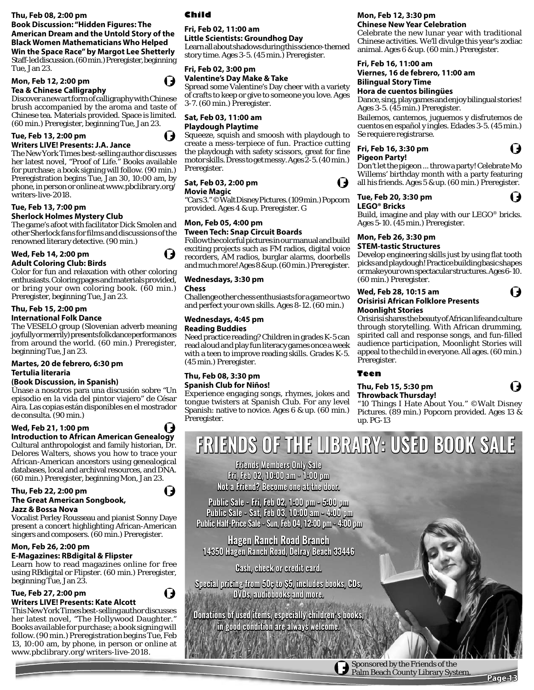#### **Thu, Feb 08, 2:00 pm**

### **Book Discussion: "Hidden Figures: The American Dream and the Untold Story of the Black Women Mathematicians Who Helped Win the Space Race" by Margot Lee Shetterly**

Staff-led discussion. (60 min.) Preregister, beginning Tue, Jan 23.

# **Mon, Feb 12, 2:00 pm**

## **Tea & Chinese Calligraphy**



Discover a new art form of calligraphy with Chinese brush accompanied by the aroma and taste of Chinese tea. Materials provided. Space is limited. (60 min.) Preregister, beginning Tue, Jan 23.

#### **Tue, Feb 13, 2:00 pm Writers LIVE! Presents: J.A. Jance**

The New York Times best-selling author discusses her latest novel, "Proof of Life." Books available for purchase; a book signing will follow. (90 min.) Preregistration begins Tue, Jan 30, 10:00 am, by phone, in person or online at www.pbclibrary.org/ writers-live-2018.

# **Tue, Feb 13, 7:00 pm**

#### **Sherlock Holmes Mystery Club**

The game's afoot with facilitator Dick Smolen and other Sherlock fans for films and discussions of the renowned literary detective. (90 min.)

# **Wed, Feb 14, 2:00 pm**

**Adult Coloring Club: Birds**

Color for fun and relaxation with other coloring enthusiasts. Coloring pages and materials provided, or bring your own coloring book. (60 min.) Preregister, beginning Tue, Jan 23.

#### **Thu, Feb 15, 2:00 pm International Folk Dance**

The VESELO group (Slovenian adverb meaning joyfully or merrily) presents folk dance performances from around the world. (60 min.) Preregister, beginning Tue, Jan 23.

#### **Martes, 20 de febrero, 6:30 pm Tertulia literaria**

#### **(Book Discussion, in Spanish)**

Únase a nosotros para una discusión sobre "Un episodio en la vida del pintor viajero" de César Aira. Las copias están disponibles en el mostrador de consulta. (90 min.)

#### **Wed, Feb 21, 1:00 pm**

**Introduction to African American Genealogy** Cultural anthropologist and family historian, Dr. Delores Walters, shows you how to trace your African-American ancestors using genealogical databases, local and archival resources, and DNA. (60 min.) Preregister, beginning Mon, Jan 23.

# **Thu, Feb 22, 2:00 pm The Great American Songbook,**

#### **Jazz & Bossa Nova**

Vocalist Perley Rousseau and pianist Sonny Daye present a concert highlighting African-American singers and composers. (60 min.) Preregister.

### **Mon, Feb 26, 2:00 pm**

### **E-Magazines: RBdigital & Flipster**

Learn how to read magazines online for free using RBdigital or Flipster. (60 min.) Preregister, beginning Tue, Jan 23.

#### **Tue, Feb 27, 2:00 pm Writers LIVE! Presents: Kate Alcott**

This New York Times best-selling author discusses her latest novel, "The Hollywood Daughter." Books available for purchase; a book signing will follow. (90 min.) Preregistration begins Tue, Feb 13, 10:00 am, by phone, in person or online at www.pbclibrary.org/writers-live-2018.

# **Child**

#### **Fri, Feb 02, 11:00 am Little Scientists: Groundhog Day**

Learn all about shadows during this science-themed story time. Ages 3-5. (45 min.) Preregister.

# **Fri, Feb 02, 3:00 pm**

# **Valentine's Day Make & Take**

Spread some Valentine's Day cheer with a variety of crafts to keep or give to someone you love. Ages 3-7. (60 min.) Preregister.

### **Sat, Feb 03, 11:00 am Playdough Playtime**

Squeeze, squish and smoosh with playdough to create a mess-terpiece of fun. Practice cutting the playdough with safety scissors, great for fine motor skills. Dress to get messy. Ages 2-5. (40 min.) Preregister.

### **Sat, Feb 03, 2:00 pm**

**Movie Magic** 

"Cars 3." ©Walt Disney Pictures. (109 min.) Popcorn provided. Ages 4 & up. Preregister. G

#### **Mon, Feb 05, 4:00 pm Tween Tech: Snap Circuit Boards**

Follow the colorful pictures in our manual and build exciting projects such as FM radios, digital voice recorders, AM radios, burglar alarms, doorbells and much more! Ages 8 & up. (60 min.) Preregister.

#### **Wednesdays, 3:30 pm**

#### **Chess**

Challenge other chess enthusiasts for a game or two and perfect your own skills. Ages 8-12. (60 min.)

# **Wednesdays, 4:45 pm**

#### **Reading Buddies**

Need practice reading? Children in grades K-5 can read aloud and play fun literacy games once a week with a teen to improve reading skills. Grades K-5. (45 min.) Preregister.

#### **Thu, Feb 08, 3:30 pm Spanish Club for Niños!**

Experience engaging songs, rhymes, jokes and tongue twisters at Spanish Club. For any level Spanish: native to novice. Ages 6 & up. (60 min.) Preregister.

## **Mon, Feb 12, 3:30 pm**

**Chinese New Year Celebration**  Celebrate the new lunar year with traditional Chinese activities. We'll divulge this year's zodiac animal. Ages 6 & up. (60 min.) Preregister.

# **Fri, Feb 16, 11:00 am**

#### **Viernes, 16 de febrero, 11:00 am Bilingual Story Time**

#### **Hora de cuentos bilingües**

Dance, sing, play games and enjoy bilingual stories! Ages 3-5. (45 min.) Preregister.

Bailemos, cantemos, juguemos y disfrutemos de cuentos en español y ingles. Edades 3-5. (45 min.) Se requiere registrarse.

# **Fri, Feb 16, 3:30 pm**

**Pigeon Party!** 

I)

Don't let the pigeon ... throw a party! Celebrate Mo Willems' birthday month with a party featuring all his friends. Ages 5 & up. (60 min.) Preregister.

#### **Tue, Feb 20, 3:30 pm**

(J

 $\mathbf t$ 

I)

**LEGO® Bricks** Build, imagine and play with our LEGO® bricks. Ages 5-10. (45 min.) Preregister.

#### **Mon, Feb 26, 3:30 pm STEM-tastic Structures**

Develop engineering skills just by using flat tooth picks and playdough! Practice building basic shapes or make your own spectacular structures. Ages 6-10. (60 min.) Preregister.

#### **Wed, Feb 28, 10:15 am Orisirisi African Folklore Presents Moonlight Stories**

Orisirisi shares the beauty of African life and culture through storytelling. With African drumming, spirited call and response songs, and fun-filled audience participation, Moonlight Stories will appeal to the child in everyone. All ages. (60 min.) Preregister.

### **Teen**

#### **Thu, Feb 15, 5:30 pm Throwback Thursday!**

"10 Things I Hate About You." ©Walt Disney Pictures. (89 min.) Popcorn provided. Ages 13 & up. PG-13

# **FRIENDS OF THE LIBRARY: USED BOOK SALE RIENDS**

**Friends Members Only Sale riends Fri, Feb 02, 10:00 am - 1:00 pm Not a Friend? Become one at the door.** 

**Public Sale - Fri, Feb 02, 1:00 pm - 5:00 pm Public Sale - Sat, Feb 03, 10:00 am - 4:00 pm pm Public Half-Price Sale - Sun, Feb 04, 12:00 pm - 4:00 pm**  Public Sale - Sat, Feb 03, 10:00 am - 4<br>Public Half-Price Sale - Sun, Feb 04, 12:00 pn<br>Hagen Ranch Road Branch

**Hagen Ranch Road Branch agen 14350 Hagen Ranch Road, Delray Beach 33446 4350** 

**Cash, check or credit card.** 

**Special pricing from 50¢ to \$5, includes books, CDs, pecial from to CDs, DVDs, audiobooks and more.** 

**Donations of used items, especially children's books in good condition are always welcome.** 

> Sponsored by the Friends of the Palm Beach County Library System.

**Page 13**



I J

Q,

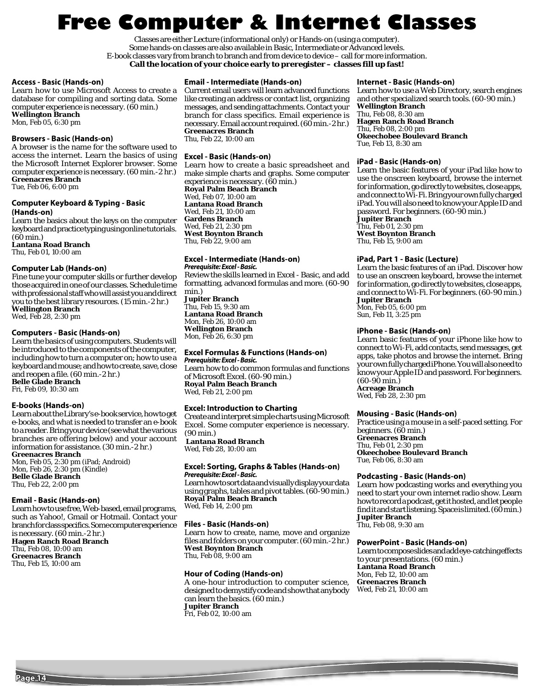# **Free Computer & Internet Classes**

Classes are either Lecture (informational only) or Hands-on (using a computer). Some hands-on classes are also available in Basic, Intermediate or Advanced levels. E-book classes vary from branch to branch and from device to device – call for more information. **Call the location of your choice early to preregister – classes fill up fast!**

#### **Access - Basic (Hands-on)**

Learn how to use Microsoft Access to create a database for compiling and sorting data. Some computer experience is necessary. (60 min.) **Wellington Branch** Mon, Feb 05, 6:30 pm

#### **Browsers - Basic (Hands-on)**

A browser is the name for the software used to access the internet. Learn the basics of using the Microsoft Internet Explorer browser. Some computer experience is necessary. (60 min.-2 hr.) **Greenacres Branch** Tue, Feb 06, 6:00 pm

# **Computer Keyboard & Typing - Basic**

**(Hands-on)**

Learn the basics about the keys on the computer keyboard and practice typing using online tutorials. (60 min.) **Lantana Road Branch**

Thu, Feb 01, 10:00 am

#### **Computer Lab (Hands-on)**

Fine tune your computer skills or further develop those acquired in one of our classes. Schedule time with professional staff who will assist you and direct you to the best library resources. (15 min.-2 hr.) **Wellington Branch** Wed, Feb 28, 2:30 pm

#### **Computers - Basic (Hands-on)**

Learn the basics of using computers. Students will be introduced to the components of the computer, including how to turn a computer on; how to use a keyboard and mouse; and how to create, save, close and reopen a file. (60 min.-2 hr.) **Belle Glade Branch** Fri, Feb 09, 10:30 am

**E-books (Hands-on)**

Learn about the Library's e-book service, how to get e-books, and what is needed to transfer an e-book to a reader. Bring your device (see what the various branches are offering below) and your account information for assistance. (30 min.-2 hr.) **Greenacres Branch**

Mon, Feb 05, 2:30 pm (iPad; Android) Mon, Feb 26, 2:30 pm (Kindle) **Belle Glade Branch**

Thu, Feb 22, 2:00 pm

#### **Email - Basic (Hands-on)**

Learn how to use free, Web-based, email programs, such as Yahoo!, Gmail or Hotmail. Contact your branch for class specifics. Some computer experience is necessary. (60 min.-2 hr.) **Hagen Ranch Road Branch** Thu, Feb 08, 10:00 am **Greenacres Branch** Thu, Feb 15, 10:00 am

#### **Email - Intermediate (Hands-on)**

Current email users will learn advanced functions like creating an address or contact list, organizing messages, and sending attachments. Contact your branch for class specifics. Email experience is necessary. Email account required. (60 min.-2 hr.) **Greenacres Branch** Thu, Feb 22, 10:00 am

#### **Excel - Basic (Hands-on)**

Learn how to create a basic spreadsheet and make simple charts and graphs. Some computer experience is necessary. (60 min.) **Royal Palm Beach Branch** Wed, Feb 07, 10:00 am **Lantana Road Branch** Wed, Feb 21, 10:00 am **Gardens Branch** Wed, Feb 21, 2:30 pm **West Boynton Branch** Thu, Feb 22, 9:00 am

#### **Excel - Intermediate (Hands-on) Prerequisite: Excel - Basic.**

Review the skills learned in Excel - Basic, and add formatting, advanced formulas and more. (60-90 min.)

**Jupiter Branch** Thu, Feb 15, 9:30 am **Lantana Road Branch** Mon, Feb 26, 10:00 am **Wellington Branch** Mon, Feb 26, 6:30 pm

### **Excel Formulas & Functions (Hands-on)**

**Prerequisite: Excel - Basic.** Learn how to do common formulas and functions of Microsoft Excel. (60-90 min.) **Royal Palm Beach Branch** Wed, Feb 21, 2:00 pm

#### **Excel: Introduction to Charting**

Create and interpret simple charts using Microsoft Excel. Some computer experience is necessary. (90 min.) **Lantana Road Branch**

Wed, Feb 28, 10:00 am

#### **Excel: Sorting, Graphs & Tables (Hands-on) Prerequisite: Excel - Basic.**

Learn how to sort data and visually display your data using graphs, tables and pivot tables. (60-90 min.) **Royal Palm Beach Branch** Wed, Feb 14, 2:00 pm

#### **Files - Basic (Hands-on)**

Learn how to create, name, move and organize files and folders on your computer. (60 min.-2 hr.) **West Boynton Branch** Thu, Feb 08, 9:00 am

#### **Hour of Coding (Hands-on)**

A one-hour introduction to computer science, designed to demystify code and show that anybody can learn the basics. (60 min.) **Jupiter Branch** Fri, Feb 02, 10:00 am

#### **Internet - Basic (Hands-on)**

Learn how to use a Web Directory, search engines and other specialized search tools. (60-90 min.) **Wellington Branch** Thu, Feb 08, 8:30 am **Hagen Ranch Road Branch** Thu, Feb 08, 2:00 pm **Okeechobee Boulevard Branch** Tue, Feb 13, 8:30 am

#### **iPad - Basic (Hands-on)**

Learn the basic features of your iPad like how to use the onscreen keyboard, browse the internet for information, go directly to websites, close apps, and connect to Wi-Fi. Bring your own fully charged iPad. You will also need to know your Apple ID and password. For beginners. (60-90 min.) **Jupiter Branch** Thu, Feb 01, 2:30 pm **West Boynton Branch**

Thu, Feb 15, 9:00 am

#### **iPad, Part 1 - Basic (Lecture)**

Learn the basic features of an iPad. Discover how to use an onscreen keyboard, browse the internet for information, go directly to websites, close apps, and connect to Wi-Fi. For beginners. (60-90 min.) **Jupiter Branch** Mon, Feb 05, 6:00 pm

Sun, Feb 11, 3:25 pm

#### **iPhone - Basic (Hands-on)**

Learn basic features of your iPhone like how to connect to Wi-Fi, add contacts, send messages, get apps, take photos and browse the internet. Bring your own fully charged iPhone. You will also need to know your Apple ID and password. For beginners. (60-90 min.) **Acreage Branch** Wed, Feb 28, 2:30 pm

#### **Mousing - Basic (Hands-on)**

Practice using a mouse in a self-paced setting. For beginners. (60 min.) **Greenacres Branch** Thu, Feb 01, 2:30 pm **Okeechobee Boulevard Branch** Tue, Feb 06, 8:30 am

#### **Podcasting - Basic (Hands-on)**

Learn how podcasting works and everything you need to start your own internet radio show. Learn how to record a podcast, get it hosted, and let people find it and start listening. Space is limited. (60 min.) **Jupiter Branch** Thu, Feb 08, 9:30 am

#### **PowerPoint - Basic (Hands-on)**

Learn to compose slides and add eye-catching effects to your presentations. (60 min.) **Lantana Road Branch** Mon, Feb 12, 10:00 am **Greenacres Branch** Wed, Feb 21, 10:00 am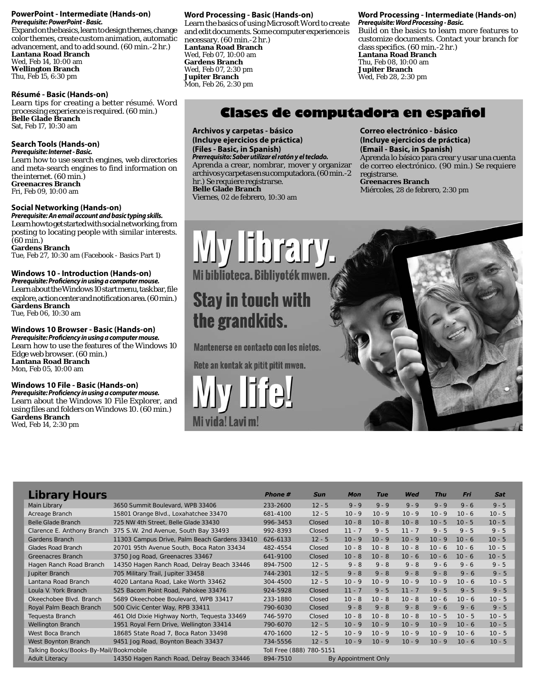#### **PowerPoint - Intermediate (Hands-on) Prerequisite: PowerPoint - Basic.**

Expand on the basics, learn to design themes, change color themes, create custom animation, automatic advancement, and to add sound. (60 min.-2 hr.) **Lantana Road Branch** Wed, Feb 14, 10:00 am **Wellington Branch** Thu, Feb 15, 6:30 pm

### **Résumé - Basic (Hands-on)**

Learn tips for creating a better résumé. Word processing experience is required. (60 min.) **Belle Glade Branch** Sat, Feb 17, 10:30 am

# **Search Tools (Hands-on)**

**Prerequisite: Internet - Basic.** Learn how to use search engines, web directories and meta-search engines to find information on the internet. (60 min.) **Greenacres Branch** Fri, Feb 09, 10:00 am

### **Social Networking (Hands-on)**

**Prerequisite: An email account and basic typing skills.**  Learn how to get started with social networking, from posting to locating people with similar interests. (60 min.)

**Gardens Branch** Tue, Feb 27, 10:30 am (Facebook - Basics Part 1)

# **Windows 10 - Introduction (Hands-on)**

Prerequisite: Proficiency in using a computer mouse. Learn about the Windows 10 start menu, task bar, file explore, action center and notification area. (60 min.) **Gardens Branch**

Tue, Feb 06, 10:30 am

# **Windows 10 Browser - Basic (Hands-on)**

Prerequisite: Proficiency in using a computer mouse. Learn how to use the features of the Windows 10 Edge web browser. (60 min.) **Lantana Road Branch** Mon, Feb 05, 10:00 am

#### **Windows 10 File - Basic (Hands-on)** Prerequisite: Proficiency in using a computer mouse.

Learn about the Windows 10 File Explorer, and using files and folders on Windows 10. (60 min.) **Gardens Branch** Wed, Feb 14, 2:30 pm

# **Word Processing - Basic (Hands-on)**

Learn the basics of using Microsoft Word to create and edit documents. Some computer experience is necessary. (60 min.-2 hr.) **Lantana Road Branch** Wed, Feb 07, 10:00 am **Gardens Branch** Wed, Feb 07, 2:30 pm **Jupiter Branch** Mon, Feb 26, 2:30 pm

#### **Word Processing - Intermediate (Hands-on) Prerequisite: Word Processing - Basic.**

Build on the basics to learn more features to customize documents. Contact your branch for class specifics. (60 min.-2 hr.) **Lantana Road Branch** Thu, Feb 08, 10:00 am **Jupiter Branch** Wed, Feb 28, 2:30 pm

# **Clases de computadora en español**

**Archivos y carpetas - básico (Incluye ejercicios de práctica) (Files - Basic, in Spanish) Prerrequisito: Saber utilizar el ratón y el teclado.** Aprenda a crear, nombrar, mover y organizar archivos y carpetas en su computadora. (60 min.-2 hr.) Se requiere registrarse. **Belle Glade Branch** Viernes, 02 de febrero, 10:30 am

**Correo electrónico - básico (Incluye ejercicios de práctica) (Email - Basic, in Spanish)** Aprenda lo básico para crear y usar una cuenta de correo electrónico. (90 min.) Se requiere registrarse. **Greenacres Branch** Miércoles, 28 de febrero, 2:30 pm

 $S_n$  sponsored by the Friends of the Friends of the Friends of the Friends of the  $F$ 

# My library. Mi biblioteca. Bibliyoték mwen **Stay in touch with**

# the grandkids.

Mantenerse en contacto con los nietos.

Rete an kontak ak pitit pitit mwen.

Mi vida! Lavi m!

| <b>Library Hours</b>                   |                                              | <b>Phone #</b> | <b>Sun</b>               | <b>Mon</b>          | <b>Tue</b> | Wed      | Thu      | Fri      | <b>Sat</b> |
|----------------------------------------|----------------------------------------------|----------------|--------------------------|---------------------|------------|----------|----------|----------|------------|
| Main Library                           | 3650 Summit Boulevard, WPB 33406             | 233-2600       | $12 - 5$                 | $9 - 9$             | $9 - 9$    | $9 - 9$  | $9 - 9$  | $9 - 6$  | $9 - 5$    |
| Acreage Branch                         | 15801 Orange Blvd., Loxahatchee 33470        | 681-4100       | $12 - 5$                 | $10 - 9$            | $10 - 9$   | $10 - 9$ | $10 - 9$ | $10 - 6$ | $10 - 5$   |
| <b>Belle Glade Branch</b>              | 725 NW 4th Street, Belle Glade 33430         | 996-3453       | Closed                   | $10 - 8$            | $10 - 8$   | $10 - 8$ | $10 - 5$ | $10 - 5$ | $10 - 5$   |
| Clarence E. Anthony Branch             | 375 S.W. 2nd Avenue, South Bay 33493         | 992-8393       | Closed                   | $11 - 7$            | $9 - 5$    | $11 - 7$ | $9 - 5$  | $9 - 5$  | $9 - 5$    |
| Gardens Branch                         | 11303 Campus Drive, Palm Beach Gardens 33410 | 626-6133       | $12 - 5$                 | $10 - 9$            | $10 - 9$   | $10 - 9$ | $10 - 9$ | $10 - 6$ | $10 - 5$   |
| <b>Glades Road Branch</b>              | 20701 95th Avenue South, Boca Raton 33434    | 482-4554       | Closed                   | $10 - 8$            | $10 - 8$   | $10 - 8$ | $10 - 6$ | $10 - 6$ | $10 - 5$   |
| Greenacres Branch                      | 3750 Jog Road, Greenacres 33467              | 641-9100       | Closed                   | $10 - 8$            | $10 - 8$   | $10 - 6$ | $10 - 6$ | $10 - 6$ | $10 - 5$   |
| Hagen Ranch Road Branch                | 14350 Hagen Ranch Road, Delray Beach 33446   | 894-7500       | $12 - 5$                 | $9 - 8$             | $9 - 8$    | $9 - 8$  | $9 - 6$  | $9 - 6$  | $9 - 5$    |
| Jupiter Branch                         | 705 Military Trail, Jupiter 33458            | 744-2301       | $12 - 5$                 | $9 - 8$             | $9 - 8$    | $9 - 8$  | $9 - 8$  | $9 - 6$  | $9 - 5$    |
| Lantana Road Branch                    | 4020 Lantana Road, Lake Worth 33462          | 304-4500       | $12 - 5$                 | $10 - 9$            | $10 - 9$   | $10 - 9$ | $10 - 9$ | $10 - 6$ | $10 - 5$   |
| Loula V. York Branch                   | 525 Bacom Point Road, Pahokee 33476          | 924-5928       | Closed                   | $11 - 7$            | $9 - 5$    | $11 - 7$ | $9 - 5$  | $9 - 5$  | $9 - 5$    |
| Okeechobee Blvd. Branch                | 5689 Okeechobee Boulevard, WPB 33417         | 233-1880       | Closed                   | $10 - 8$            | $10 - 8$   | $10 - 8$ | $10 - 6$ | $10 - 6$ | $10 - 5$   |
| Royal Palm Beach Branch                | 500 Civic Center Way, RPB 33411              | 790-6030       | Closed                   | $9 - 8$             | $9 - 8$    | $9 - 8$  | $9 - 6$  | $9 - 6$  | $9 - 5$    |
| Tequesta Branch                        | 461 Old Dixie Highway North, Tequesta 33469  | 746-5970       | Closed                   | $10 - 8$            | $10 - 8$   | $10 - 8$ | $10 - 5$ | $10 - 5$ | $10 - 5$   |
| <b>Wellington Branch</b>               | 1951 Royal Fern Drive, Wellington 33414      | 790-6070       | $12 - 5$                 | $10 - 9$            | $10 - 9$   | $10 - 9$ | $10 - 9$ | $10 - 6$ | $10 - 5$   |
| West Boca Branch                       | 18685 State Road 7, Boca Raton 33498         | 470-1600       | $12 - 5$                 | $10 - 9$            | $10 - 9$   | $10 - 9$ | $10 - 9$ | $10 - 6$ | $10 - 5$   |
| West Boynton Branch                    | 9451 Jog Road, Boynton Beach 33437           | 734-5556       | $12 - 5$                 | $10 - 9$            | $10 - 9$   | $10 - 9$ | $10 - 9$ | $10 - 6$ | $10 - 5$   |
| Talking Books/Books-By-Mail/Bookmobile |                                              |                | Toll Free (888) 780-5151 |                     |            |          |          |          |            |
| <b>Adult Literacy</b>                  | 14350 Hagen Ranch Road, Delray Beach 33446   | 894-7510       |                          | By Appointment Only |            |          |          |          |            |